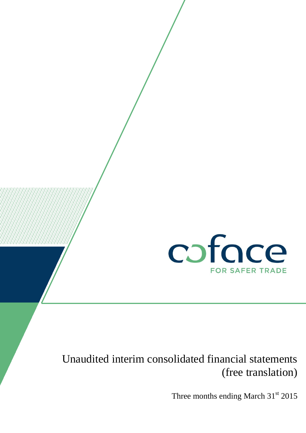

# Unaudited interim consolidated financial statements (free translation)

Three months ending March  $31<sup>st</sup> 2015$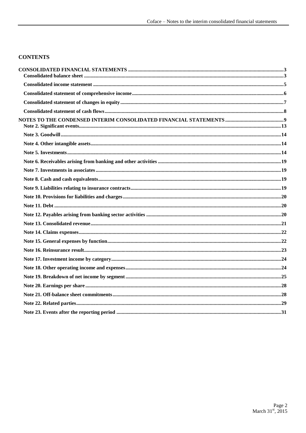#### **CONTENTS**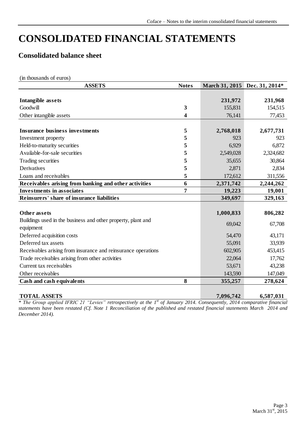# <span id="page-2-0"></span>**CONSOLIDATED FINANCIAL STATEMENTS**

## <span id="page-2-1"></span>**Consolidated balance sheet**

(in thousands of euros)

| <b>ASSETS</b>                                                 | <b>Notes</b>   | March 31, 2015 Dec. 31, 2014* |           |
|---------------------------------------------------------------|----------------|-------------------------------|-----------|
|                                                               |                |                               |           |
| <b>Intangible assets</b>                                      |                | 231,972                       | 231,968   |
| Goodwill                                                      | 3              | 155,831                       | 154,515   |
| Other intangible assets                                       | 4              | 76,141                        | 77,453    |
|                                                               |                |                               |           |
| <b>Insurance business investments</b>                         | 5              | 2,768,018                     | 2,677,731 |
| Investment property                                           | 5              | 923                           | 923       |
| Held-to-maturity securities                                   | 5              | 6,929                         | 6,872     |
| Available-for-sale securities                                 | 5              | 2,549,028                     | 2,324,682 |
| Trading securities                                            | 5              | 35,655                        | 30,864    |
| Derivatives                                                   | 5              | 2,871                         | 2,834     |
| Loans and receivables                                         | 5              | 172,612                       | 311,556   |
| Receivables arising from banking and other activities         | 6              | 2,371,742                     | 2,244,262 |
| <b>Investments in associates</b>                              | $\overline{7}$ | 19,223                        | 19,001    |
| Reinsurers' share of insurance liabilities                    |                | 349,697                       | 329,163   |
|                                                               |                |                               |           |
| Other assets                                                  |                | 1,000,833                     | 806,282   |
| Buildings used in the business and other property, plant and  |                | 69,042                        | 67,708    |
| equipment                                                     |                |                               |           |
| Deferred acquisition costs                                    |                | 54,470                        | 43,171    |
| Deferred tax assets                                           |                | 55,091                        | 33,939    |
| Receivables arising from insurance and reinsurance operations |                | 602,905                       | 453,415   |
| Trade receivables arising from other activities               |                | 22,064                        | 17,762    |
| Current tax receivables                                       |                | 53,671                        | 43,238    |
| Other receivables                                             |                | 143,590                       | 147,049   |
| Cash and cash equivalents                                     | 8              | 355,257                       | 278,624   |
|                                                               |                |                               |           |
| <b>TOTAL ASSETS</b>                                           |                | 7,096,742                     | 6,587,031 |

*\* The Group applied IFRIC 21 "Levies" retrospectively at the 1st of January 2014. Consequently, 2014 comparative financial statements have been restated (Cf. Note 1 Reconciliation of the published and restated financial statements March 2014 and December 2014).*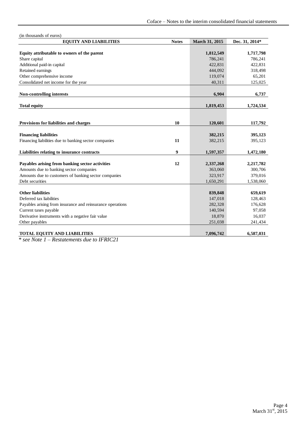| (in thousands of euros)                                    |                  |                |                |
|------------------------------------------------------------|------------------|----------------|----------------|
| <b>EQUITY AND LIABILITIES</b>                              | <b>Notes</b>     | March 31, 2015 | Dec. 31, 2014* |
|                                                            |                  |                |                |
| Equity attributable to owners of the parent                |                  | 1,812,549      | 1,717,798      |
| Share capital                                              |                  | 786,241        | 786,241        |
| Additional paid-in capital                                 |                  | 422,831        | 422,831        |
| Retained earnings                                          |                  | 444,092        | 318,498        |
| Other comprehensive income                                 |                  | 119,074        | 65,201         |
| Consolidated net income for the year                       |                  | 40,311         | 125,025        |
|                                                            |                  |                |                |
| Non-controlling interests                                  |                  | 6,904          | 6,737          |
|                                                            |                  |                |                |
| <b>Total equity</b>                                        |                  | 1,819,453      | 1,724,534      |
|                                                            |                  |                |                |
| Provisions for liabilities and charges                     | 10               | 120,601        | 117,792        |
|                                                            |                  |                |                |
| <b>Financing liabilities</b>                               |                  | 382,215        | 395,123        |
| Financing liabilities due to banking sector companies      | 11               | 382,215        | 395,123        |
|                                                            |                  |                |                |
| Liabilities relating to insurance contracts                | $\boldsymbol{9}$ | 1,597,357      | 1,472,180      |
|                                                            |                  |                |                |
| Payables arising from banking sector activities            | 12               | 2,337,268      | 2,217,782      |
| Amounts due to banking sector companies                    |                  | 363,060        | 300,706        |
| Amounts due to customers of banking sector companies       |                  | 323,917        | 379,016        |
| Debt securities                                            |                  | 1,650,291      | 1,538,060      |
|                                                            |                  |                |                |
| <b>Other liabilities</b>                                   |                  | 839,848        | 659,619        |
| Deferred tax liabilities                                   |                  | 147,018        | 128,463        |
| Payables arising from insurance and reinsurance operations |                  | 282,328        | 176,628        |
| Current taxes payable                                      |                  | 140,594        | 97,058         |
| Derivative instruments with a negative fair value          |                  | 18,870         | 16,037         |
| Other payables                                             |                  | 251,038        | 241,434        |
|                                                            |                  |                |                |
| <b>TOTAL EQUITY AND LIABILITIES</b>                        |                  | 7,096,742      | 6,587,031      |

*\* see Note 1 – Restatements due to IFRIC21*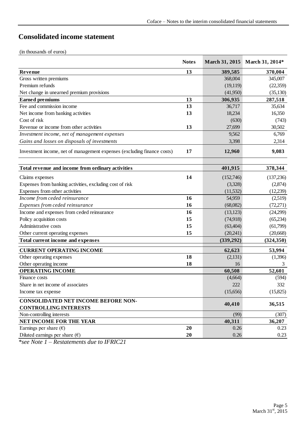## <span id="page-4-0"></span>**Consolidated income statement**

|                                                                         | <b>Notes</b> | March 31, 2015     | March 31, 2014*    |
|-------------------------------------------------------------------------|--------------|--------------------|--------------------|
|                                                                         |              |                    |                    |
| Revenue<br>Gross written premiums                                       | 13           | 389,585<br>368,004 | 370,004<br>345,007 |
| Premium refunds                                                         |              | (19, 119)          | (22,359)           |
| Net change in unearned premium provisions                               |              | (41,950)           | (35, 130)          |
| <b>Earned premiums</b>                                                  | 13           | 306,935            | 287,518            |
| Fee and commission income                                               | 13           | 36,717             | 35,634             |
| Net income from banking activities                                      | 13           | 18,234             | 16,350             |
| Cost of risk                                                            |              | (630)              | (743)              |
| Revenue or income from other activities                                 | 13           | 27,699             | 30,502             |
| Investment income, net of management expenses                           |              | 9,562              | 6,769              |
| Gains and losses on disposals of investments                            |              | 3,398              | 2,314              |
| Investment income, net of management expenses (excluding finance costs) | 17           | 12,960             | 9,083              |
| Total revenue and income from ordinary activities                       |              | 401,915            | 378,344            |
| Claims expenses                                                         | 14           | (152,746)          | (137,236)          |
| Expenses from banking activities, excluding cost of risk                |              | (3,328)            | (2,874)            |
| Expenses from other activities                                          |              | (11, 532)          | (12,239)           |
| Income from ceded reinsurance                                           | 16           | 54,959             | (2,519)            |
| Expenses from ceded reinsurance                                         | 16           | (68,082)           | (72,271)           |
| Income and expenses from ceded reinsurance                              | 16           | (13, 123)          | (24,299)           |
| Policy acquisition costs                                                | 15           | (74,918)           | (65,234)           |
| Administrative costs                                                    | 15           | (63, 404)          | (61,799)           |
| Other current operating expenses                                        | 15           | (20,241)           | (20, 668)          |
| <b>Total current income and expenses</b>                                |              | (339,292)          | (324, 350)         |
| <b>CURRENT OPERATING INCOME</b>                                         |              | 62,623             | 53,994             |
| Other operating expenses                                                | 18           | (2,131)            | (1,396)            |
| Other operating income                                                  | 18           | 16                 | 3                  |
| <b>OPERATING INCOME</b>                                                 |              | 60,508             | 52,601             |
| Finance costs                                                           |              | (4,664)            | (594)              |
| Share in net income of associates                                       |              | 222                | 332                |
| Income tax expense                                                      |              | (15,656)           | (15,825)           |
| <b>CONSOLIDATED NET INCOME BEFORE NON-</b>                              |              |                    |                    |
| <b>CONTROLLING INTERESTS</b>                                            |              | 40,410             | 36,515             |
| Non-controlling interests                                               |              | (99)               | (307)              |
| NET INCOME FOR THE YEAR                                                 |              | 40,311             | 36,207             |
| Earnings per share $(\epsilon)$                                         | 20           | 0.26               | 0.23               |
| Diluted earnings per share $(\epsilon)$                                 | 20           | 0.26               | 0.23               |

*\*see Note 1 – Restatements due to IFRIC21*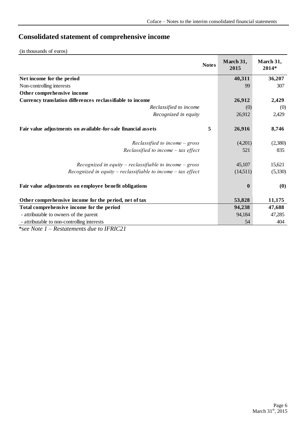## <span id="page-5-0"></span>**Consolidated statement of comprehensive income**

(in thousands of euros)

|                                                               | <b>Notes</b> | March 31,<br>2015 | March 31,<br>2014* |
|---------------------------------------------------------------|--------------|-------------------|--------------------|
| Net income for the period                                     |              | 40,311            | 36,207             |
| Non-controlling interests                                     |              | 99                | 307                |
| Other comprehensive income                                    |              |                   |                    |
| Currency translation differences reclassifiable to income     |              | 26,912            | 2,429              |
| Reclassified to income                                        |              | (0)               | (0)                |
| Recognized in equity                                          |              | 26,912            | 2,429              |
| Fair value adjustments on available-for-sale financial assets | 5            | 26,916            | 8,746              |
| Reclassified to income $-gross$                               |              | (4,201)           | (2,380)            |
| Reclassified to income $-$ tax effect                         |              | 521               | 835                |
| Recognized in equity – reclassifiable to income – gross       |              | 45,107            | 15,621             |
| Recognized in equity – reclassifiable to income – tax effect  |              | (14,511)          | (5,330)            |
| Fair value adjustments on employee benefit obligations        |              | $\mathbf 0$       | (0)                |
| Other comprehensive income for the period, net of tax         |              | 53,828            | 11,175             |
| Total comprehensive income for the period                     |              | 94,238            | 47,688             |
| - attributable to owners of the parent                        |              | 94,184            | 47,285             |
| - attributable to non-controlling interests                   |              | 54                | 404                |

*\*see Note 1 – Restatements due to IFRIC21*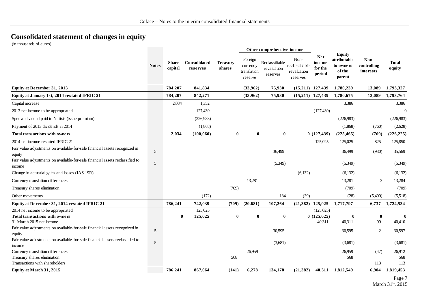## **Consolidated statement of changes in equity**

(in thousands of euros)

<span id="page-6-0"></span>

|                                                                                          |                |                         |                                 |                           |                                               | Other comprehensive income                |                                                   |                                           |                                                                |                                  |                        |
|------------------------------------------------------------------------------------------|----------------|-------------------------|---------------------------------|---------------------------|-----------------------------------------------|-------------------------------------------|---------------------------------------------------|-------------------------------------------|----------------------------------------------------------------|----------------------------------|------------------------|
|                                                                                          | <b>Notes</b>   | <b>Share</b><br>capital | <b>Consolidated</b><br>reserves | <b>Treasury</b><br>shares | Foreign<br>currency<br>translation<br>reserve | Reclassifiable<br>revaluation<br>reserves | Non-<br>reclassifiable<br>revaluation<br>reserves | <b>Net</b><br>income<br>for the<br>period | <b>Equity</b><br>attributable<br>to owners<br>of the<br>parent | Non-<br>controlling<br>interests | <b>Total</b><br>equity |
| <b>Equity at December 31, 2013</b>                                                       |                | 784,207                 | 841,834                         |                           | (33,962)                                      | 75,930                                    |                                                   | $(15,211)$ $127,439$                      | 1,780,239                                                      | 13,089                           | 1,793,327              |
| Equity at January 1st, 2014 restated IFRIC 21                                            |                | 784,207                 | 842,271                         |                           | (33,962)                                      | 75,930                                    |                                                   | $(15,211)$ 127,439                        | 1,780,675                                                      | 13,089                           | 1,793,764              |
| Capital increase                                                                         |                | 2,034                   | 1,352                           |                           |                                               |                                           |                                                   |                                           | 3,386                                                          |                                  | 3,386                  |
| 2013 net income to be appropriated                                                       |                |                         | 127,439                         |                           |                                               |                                           |                                                   | (127, 439)                                |                                                                |                                  | $\Omega$               |
| Special dividend paid to Natixis (issue premium)                                         |                |                         | (226,983)                       |                           |                                               |                                           |                                                   |                                           | (226,983)                                                      |                                  | (226,983)              |
| Payment of 2013 dividends in 2014                                                        |                |                         | (1,868)                         |                           |                                               |                                           |                                                   |                                           | (1,868)                                                        | (760)                            | (2,628)                |
| <b>Total transactions with owners</b>                                                    |                | 2,034                   | (100, 060)                      | $\bf{0}$                  | $\bf{0}$                                      | $\bf{0}$                                  |                                                   | 0(127, 439)                               | (225, 465)                                                     | (760)                            | (226, 225)             |
| 2014 net income restated IFRIC 21                                                        |                |                         |                                 |                           |                                               |                                           |                                                   | 125,025                                   | 125,025                                                        | 825                              | 125,850                |
| Fair value adjustments on available-for-sale financial assets recognized in<br>equity    | 5              |                         |                                 |                           |                                               | 36,499                                    |                                                   |                                           | 36,499                                                         | (930)                            | 35,569                 |
| Fair value adjustments on available-for-sale financial assets reclassified to<br>income  | $\overline{5}$ |                         |                                 |                           |                                               | (5,349)                                   |                                                   |                                           | (5,349)                                                        |                                  | (5,349)                |
| Change in actuarial gains and losses (IAS 19R)                                           |                |                         |                                 |                           |                                               |                                           | (6,132)                                           |                                           | (6,132)                                                        |                                  | (6,132)                |
| Currency translation differences                                                         |                |                         |                                 |                           | 13,281                                        |                                           |                                                   |                                           | 13,281                                                         | 3                                | 13,284                 |
| Treasury shares elimination                                                              |                |                         |                                 | (709)                     |                                               |                                           |                                                   |                                           | (709)                                                          |                                  | (709)                  |
| Other movements                                                                          |                |                         | (172)                           |                           |                                               | 184                                       | (39)                                              |                                           | (28)                                                           | (5,490)                          | (5,518)                |
| Equity at December 31, 2014 restated IFRIC 21                                            |                | 786,241                 | 742,039                         | (709)                     | (20, 681)                                     | 107,264                                   |                                                   | $(21,382)$ 125,025                        | 1,717,797                                                      | 6,737                            | 1,724,534              |
| $\overline{2014}$ net income to be appropriated<br><b>Total transactions with owners</b> |                | $\bf{0}$                | 125,025<br>125,025              | $\mathbf{0}$              | $\bf{0}$                                      | $\bf{0}$                                  |                                                   | (125,025)<br>0(125,025)                   | $\bf{0}$                                                       | $\bf{0}$                         | $\mathbf{0}$           |
| 31 March 2015 net income                                                                 |                |                         |                                 |                           |                                               |                                           |                                                   | 40,311                                    | 40,311                                                         | 99                               | 40,410                 |
| Fair value adjustments on available-for-sale financial assets recognized in<br>equity    | 5              |                         |                                 |                           |                                               | 30,595                                    |                                                   |                                           | 30,595                                                         | 2                                | 30,597                 |
| Fair value adjustments on available-for-sale financial assets reclassified to<br>income  | 5              |                         |                                 |                           |                                               | (3,681)                                   |                                                   |                                           | (3,681)                                                        |                                  | (3,681)                |
| Currency translation differences                                                         |                |                         |                                 |                           | 26,959                                        |                                           |                                                   |                                           | 26,959                                                         | (47)                             | 26,912                 |
| Treasury shares elimination                                                              |                |                         |                                 | 568                       |                                               |                                           |                                                   |                                           | 568                                                            |                                  | 568                    |
| Transactions with shareholders                                                           |                |                         |                                 |                           |                                               |                                           |                                                   |                                           |                                                                | 113                              | 113                    |
| Equity at March 31, 2015                                                                 |                | 786,241                 | 867,064                         | (141)                     | 6,278                                         | 134,178                                   | (21, 382)                                         | 40,311                                    | 1,812,549                                                      | 6,904                            | 1,819,453              |
|                                                                                          |                |                         |                                 |                           |                                               |                                           |                                                   |                                           |                                                                |                                  | Page 7                 |

March 31st, 2015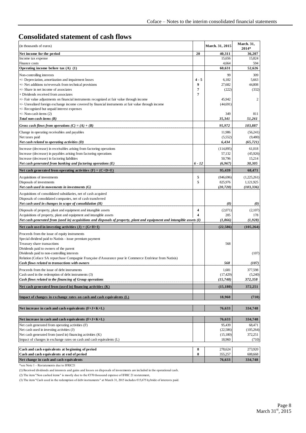#### <span id="page-7-0"></span>**Consolidated statement of cash flows**

| (in thousands of euros)                                                                                                                                                                               |          | March. 31, 2015        | March. 31,<br>2014*      |
|-------------------------------------------------------------------------------------------------------------------------------------------------------------------------------------------------------|----------|------------------------|--------------------------|
| Net income for the period                                                                                                                                                                             | 20       | 40,311                 | 36,207                   |
| Income tax expense                                                                                                                                                                                    |          | 15,656                 | 15,824                   |
| Finance costs<br>Operating income before tax (A) (1)                                                                                                                                                  |          | 4,664<br>60,631        | 594<br>52,626            |
| Non-controlling interests                                                                                                                                                                             |          | 99                     | 309                      |
| +/- Depreciation, amortization and impairment losses                                                                                                                                                  | $4 - 5$  | 6,182                  | 5,663                    |
| +/- Net additions to/reversals from technical provisions                                                                                                                                              | 9        | 27,682                 | 44,808                   |
| +/- Share in net income of associates<br>+ Dividends received from associates                                                                                                                         | 7<br>7   | (222)                  | (332)                    |
| +/- Fair value adjustments on financial instruments recognized at fair value through income<br>$+/-$ Unrealized foreign exchange income covered by financial instruments at fair value through income |          | 45,942<br>(44, 691)    | 2                        |
| +/- Recognized but unpaid interest expenses                                                                                                                                                           |          |                        |                          |
| $+/-$ Non-cash items $(2)$                                                                                                                                                                            |          | 349                    | 811                      |
| Total non-cash items $(B)$                                                                                                                                                                            |          | 35,341                 | 51,261                   |
| Gross cash flows from operations $(C) = (A) + (B)$                                                                                                                                                    |          | 95,972                 | 103,887                  |
| Change in operating receivables and payables                                                                                                                                                          |          | 11,986                 | (56,241)                 |
| Net taxes paid<br>Net cash related to operating activities (D)                                                                                                                                        |          | (5, 552)<br>6,434      | (9,480)<br>(65, 721)     |
| Increase (decrease) in receivables arising from factoring operations                                                                                                                                  |          | (114, 895)             | 61,018                   |
| Increase (decrease) in payables arising from factoring operations                                                                                                                                     |          | 57,132                 | (45,926)                 |
| Increase (decrease) in factoring liabilities                                                                                                                                                          |          | 50,796                 | 15,214                   |
| Net cash generated from banking and factoring operations (E)                                                                                                                                          | $6 - 12$ | (6,967)                | 30,305                   |
| Net cash generated from operating activities $(F) = (C+D+E)$                                                                                                                                          |          | 95,439                 | 68,471                   |
| Acquisitions of investments<br>Disposals of investments                                                                                                                                               | 5<br>5   | (846, 696)<br>825,976  | (1,225,261)<br>1,121,925 |
| Net cash used in movements in investments (G)                                                                                                                                                         |          | (20, 720)              | (103, 336)               |
| Acquisitions of consolidated subsidiaries, net of cash acquired                                                                                                                                       |          |                        |                          |
| Disposals of consolidated companies, net of cash transferred                                                                                                                                          |          |                        |                          |
| Net cash used in changes in scope of consolidation $(H)$                                                                                                                                              |          | $\boldsymbol{\theta}$  | $\boldsymbol{\theta}$    |
| Disposals of property, plant and equipment and intangible assets                                                                                                                                      | 4<br>4   | (2,071)                | (2,107)                  |
| Acquisitions of property, plant and equipment and intangible assets<br>Net cash generated from (used in) acquisitions and disposals of property, plant and equipment and intangible assets (I)        |          | 205<br>(1, 866)        | 178<br>(1, 928)          |
| Net cash used in investing activities $(J) = (G+H+I)$                                                                                                                                                 |          | (22, 586)              | (105, 264)               |
| Proceeds from the issue of equity instruments                                                                                                                                                         |          |                        |                          |
| Special dividend paid to Natixis - issue premium payment                                                                                                                                              |          |                        |                          |
| Treasury share transactions                                                                                                                                                                           |          | 568                    |                          |
| Dividends paid to owners of the parent<br>Dividends paid to non-controlling interests                                                                                                                 |          |                        | (107)                    |
| Relution (Coface SA repurchase Compagnie Française d'Assurance pour le Commerce Extérieur from Natixis)                                                                                               |          |                        |                          |
| Cash flows related to transactions with owners                                                                                                                                                        |          | 568                    | (107)                    |
| Proceeds from the issue of debt instruments                                                                                                                                                           |          | 1,681                  | 377,598                  |
| Cash used in the redemption of debt instruments (3)<br>Cash flows related to the financing of Group operations                                                                                        |          | (17, 429)<br>(15, 748) | (5,240)<br>372,358       |
| Net cash generated from (used in) financing activities (K)                                                                                                                                            |          | (15, 180)              | 372,251                  |
| Impact of changes in exchange rates on cash and cash equivalents (L)                                                                                                                                  |          | 18,960                 | (710)                    |
| Net increase in cash and cash equivalents $(F+J+K+L)$                                                                                                                                                 |          | 76,633                 | 334,748                  |
| Net increase in cash and cash equivalents $(F+J+K+L)$                                                                                                                                                 |          | 76,633                 | 334,748                  |
| Net cash generated from operating activities (F)                                                                                                                                                      |          | 95,439                 | 68,471                   |
| Net cash used in investing activities (J)                                                                                                                                                             |          | (22, 586)              | (105,264)                |
| Net cash generated from (used in) financing activities (K)                                                                                                                                            |          | (15,180)               | 372,251                  |
| Impact of changes in exchange rates on cash and cash equivalents (L)                                                                                                                                  |          | 18,960                 | (710)                    |
| Cash and cash equivalents at beginning of period                                                                                                                                                      | 8        | 278,624                | 273,920                  |
| Cash and cash equivalents at end of period                                                                                                                                                            | 8        | 355,257                | 608,668                  |
| Net change in cash and cash equivalents                                                                                                                                                               |          | 76,633                 | 334,748                  |

\*see Note 1 – Restatements due to IFRIC21

(1) Received dividends and interests and gains and losses on disposals of investments are included in the operational cash.

(2) The item "Non cashed items" is mostly due to the €370 thousand expense of IFRIC 21 restatement,

(3) The item "Cash used in the redemption of debt instruments" at March 31, 2015 includes €15,675 hybride of interests paid.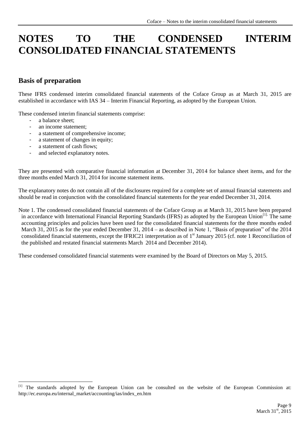# <span id="page-8-0"></span>**NOTES TO THE CONDENSED INTERIM CONSOLIDATED FINANCIAL STATEMENTS**

#### **Basis of preparation**

These IFRS condensed interim consolidated financial statements of the Coface Group as at March 31, 2015 are established in accordance with IAS 34 – Interim Financial Reporting, as adopted by the European Union.

These condensed interim financial statements comprise:

a balance sheet;

1

- an income statement;
- a statement of comprehensive income;
- a statement of changes in equity;
- a statement of cash flows;
- and selected explanatory notes.

They are presented with comparative financial information at December 31, 2014 for balance sheet items, and for the three months ended March 31, 2014 for income statement items.

The explanatory notes do not contain all of the disclosures required for a complete set of annual financial statements and should be read in conjunction with the consolidated financial statements for the year ended December 31, 2014.

Note 1. The condensed consolidated financial statements of the Coface Group as at March 31, 2015 have been prepared in accordance with International Financial Reporting Standards (IFRS) as adopted by the European Union<sup>[1].</sup> The same accounting principles and policies have been used for the consolidated financial statements for the three months ended March 31, 2015 as for the year ended December 31, 2014 – as described in Note 1, "Basis of preparation" of the 2014 consolidated financial statements, except the IFRIC21 interpretation as of 1<sup>st</sup> January 2015 (cf. note 1 Reconciliation of the published and restated financial statements March 2014 and December 2014).

These condensed consolidated financial statements were examined by the Board of Directors on May 5, 2015.

<sup>[1]</sup> The standards adopted by the European Union can be consulted on the website of the European Commission at: http://ec.europa.eu/internal\_market/accounting/ias/index\_en.htm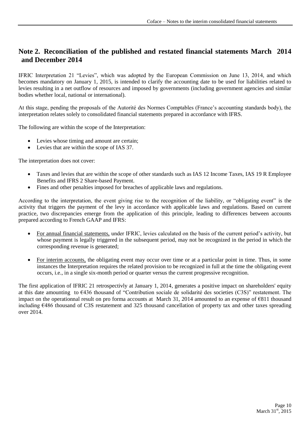#### **Note 2. Reconciliation of the published and restated financial statements March 2014 and December 2014**

IFRIC Interpretation 21 "Levies", which was adopted by the European Commission on June 13, 2014, and which becomes mandatory on January 1, 2015, is intended to clarify the accounting date to be used for liabilities related to levies resulting in a net outflow of resources and imposed by governments (including government agencies and similar bodies whether local, national or international).

At this stage, pending the proposals of the Autorité des Normes Comptables (France's accounting standards body), the interpretation relates solely to consolidated financial statements prepared in accordance with IFRS.

The following are within the scope of the Interpretation:

- Levies whose timing and amount are certain;
- Levies that are within the scope of IAS 37.

The interpretation does not cover:

- Taxes and levies that are within the scope of other standards such as IAS 12 Income Taxes, IAS 19 R Employee Benefits and IFRS 2 Share-based Payment.
- Fines and other penalties imposed for breaches of applicable laws and regulations.

According to the interpretation, the event giving rise to the recognition of the liability, or "obligating event" is the activity that triggers the payment of the levy in accordance with applicable laws and regulations. Based on current practice, two discrepancies emerge from the application of this principle, leading to differences between accounts prepared according to French GAAP and IFRS:

- For annual financial statements, under IFRIC, levies calculated on the basis of the current period's activity, but whose payment is legally triggered in the subsequent period, may not be recognized in the period in which the corresponding revenue is generated;
- For interim accounts, the obligating event may occur over time or at a particular point in time. Thus, in some instances the Interpretation requires the related provision to be recognized in full at the time the obligating event occurs, i.e., in a single six-month period or quarter versus the current progressive recognition.

The first application of IFRIC 21 retrospectivly at January 1, 2014, generates a positive impact on shareholders' equity at this date amounting to €436 thousand of "Contribution sociale de solidarité des societies (C3S)" restatement. The impact on the operationnal result on pro forma accounts at March 31, 2014 amounted to an expense of €811 thousand including €486 thousand of C3S restatement and 325 thousand cancellation of property tax and other taxes spreading over 2014.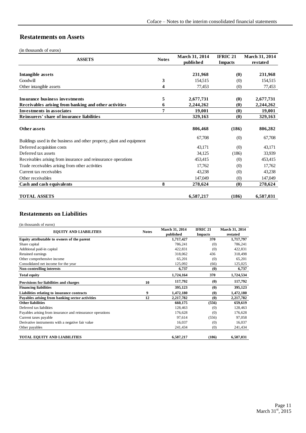#### **Restatements on Assets**

(in thousands of euros)

| <b>ASSETS</b>                                                          | <b>Notes</b> | March 31, 2014 | IFRIC <sub>21</sub>           | <b>March 31, 2014</b> |
|------------------------------------------------------------------------|--------------|----------------|-------------------------------|-----------------------|
|                                                                        |              | published      | <b>Impacts</b>                | restated              |
|                                                                        |              |                |                               |                       |
| Intangible assets                                                      |              | 231,968        | $\boldsymbol{0}$              | 231,968               |
| Goodwill                                                               | 3            | 154,515        | (0)                           | 154,515               |
| Other intangible assets                                                | 4            | 77,453         | (0)                           | 77,453                |
| <b>Insurance business investments</b>                                  | 5            | 2,677,731      | $\boldsymbol{\left(0\right)}$ | 2,677,731             |
| Receivables arising from banking and other activities                  | 6            | 2,244,262      | (0)                           | 2,244,262             |
| <b>Investments in associates</b>                                       | 7            | 19,001         | (0)                           | 19,001                |
| Reinsurers' share of insurance liabilities                             |              | 329,163        | (0)                           | 329,163               |
|                                                                        |              |                |                               |                       |
| Other assets                                                           |              | 806,468        | (186)                         | 806,282               |
| Buildings used in the business and other property, plant and equipment |              | 67,708         | (0)                           | 67,708                |
| Deferred acquisition costs                                             |              | 43,171         | (0)                           | 43,171                |
| Deferred tax assets                                                    |              | 34,125         | (186)                         | 33,939                |
| Receivables arising from insurance and reinsurance operations          |              | 453,415        | (0)                           | 453,415               |
| Trade receivables arising from other activities                        |              | 17,762         | (0)                           | 17,762                |
| Current tax receivables                                                |              | 43,238         | (0)                           | 43,238                |
| Other receivables                                                      |              | 147,049        | (0)                           | 147,049               |
| Cash and cash equivalents                                              | 8            | 278,624        | $\boldsymbol{\left(0\right)}$ | 278,624               |
| <b>TOTAL ASSETS</b>                                                    |              | 6,587,217      | (186)                         | 6,587,031             |

#### **Restatements on Liabilities**

(in thousands of euros)

| <b>EQUITY AND LIABILITIES</b>                              | <b>Notes</b> | March 31, 2014 | <b>IFRIC 21</b>       | March 31, 2014 |
|------------------------------------------------------------|--------------|----------------|-----------------------|----------------|
|                                                            |              | published      | <b>Impacts</b>        | restated       |
| Equity attributable to owners of the parent                |              | 1,717,427      | 370                   | 1,717,797      |
| Share capital                                              |              | 786,241        | (0)                   | 786,241        |
| Additional paid-in capital                                 |              | 422,831        | (0)                   | 422,831        |
| Retained earnings                                          |              | 318,062        | 436                   | 318,498        |
| Other comprehensive income                                 |              | 65,201         | (0)                   | 65,201         |
| Consolidated net income for the year                       |              | 125,092        | (66)                  | 125,025        |
| <b>Non-controlling interests</b>                           |              | 6,737          | $\boldsymbol{\theta}$ | 6,737          |
| <b>Total equity</b>                                        |              | 1,724,164      | 370                   | 1,724,534      |
| Provisions for liabilities and charges                     | 10           | 117,792        | (0)                   | 117,792        |
| <b>Financing liabilities</b>                               |              | 395,123        | (0)                   | 395,123        |
| Liabilities relating to insurance contracts                | 9            | 1,472,180      | (0)                   | 1,472,180      |
| Payables arising from banking sector activities            | 12           | 2,217,782      | (0)                   | 2,217,782      |
| <b>Other liabilities</b>                                   |              | 660,175        | (556)                 | 659,619        |
| Deferred tax liabilities                                   |              | 128,463        | (0)                   | 128,463        |
| Payables arising from insurance and reinsurance operations |              | 176,628        | (0)                   | 176,628        |
| Current taxes payable                                      |              | 97,614         | (556)                 | 97,058         |
| Derivative instruments with a negative fair value          |              | 16,037         | (0)                   | 16,037         |
| Other payables                                             |              | 241,434        | (0)                   | 241,434        |
| <b>TOTAL EQUITY AND LIABILITIES</b>                        |              | 6,587,217      | (186)                 | 6,587,031      |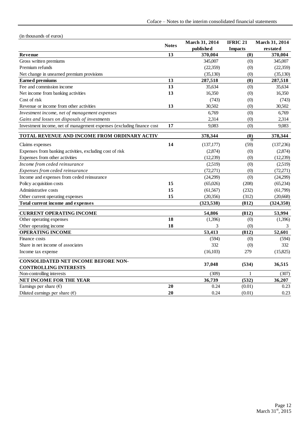| (in thousands of euros)                                               |              |                             |                                   |                            |
|-----------------------------------------------------------------------|--------------|-----------------------------|-----------------------------------|----------------------------|
|                                                                       | <b>Notes</b> | March 31, 2014<br>published | <b>IFRIC 21</b><br><b>Impacts</b> | March 31, 2014<br>restated |
| Revenue                                                               | 13           | 370,004                     | (0)                               | 370,004                    |
| Gross written premiums                                                |              | 345,007                     | (0)                               | 345,007                    |
| Premium refunds                                                       |              | (22,359)                    | (0)                               | (22, 359)                  |
| Net change in unearned premium provisions                             |              | (35, 130)                   | (0)                               | (35, 130)                  |
| <b>Earned</b> premiums                                                | 13           | 287,518                     | (0)                               | 287,518                    |
| Fee and commission income                                             | 13           | 35,634                      | (0)                               | 35,634                     |
| Net income from banking activities                                    | 13           | 16,350                      | (0)                               | 16,350                     |
| Cost of risk                                                          |              | (743)                       | (0)                               | (743)                      |
| Revenue or income from other activities                               | 13           | 30,502                      | (0)                               | 30,502                     |
| Investment income, net of management expenses                         |              | 6,769                       | (0)                               | 6,769                      |
| Gains and losses on disposals of investments                          |              | 2,314                       | (0)                               | 2,314                      |
| Investment income, net of management expenses (excluding finance cost | 17           | 9,083                       | (0)                               | 9,083                      |
| TOTAL REVENUE AND INCOME FROM ORDINARY ACTIV.                         |              | 378,344                     | (0)                               | 378,344                    |
| Claims expenses                                                       | 14           | (137, 177)                  | π<br>(59)                         | (137,236)                  |
| Expenses from banking activities, excluding cost of risk              |              | (2,874)                     | (0)                               | (2,874)                    |
| Expenses from other activities                                        |              | (12,239)                    | (0)                               | (12, 239)                  |
| Income from ceded reinsurance                                         |              | (2,519)                     | (0)                               | (2,519)                    |
| Expenses from ceded reinsurance                                       |              | (72, 271)                   | (0)                               | (72, 271)                  |
| Income and expenses from ceded reinsurance                            |              | (24,299)                    | (0)                               | (24,299)                   |
| Policy acquisition costs                                              | 15           | (65,026)                    | (208)                             | (65,234)                   |
| Administrative costs                                                  | 15           | (61, 567)                   | (232)                             | (61,799)                   |
| Other current operating expenses                                      | 15           | (20, 356)                   | (312)                             | (20,668)                   |
| Total current income and expenses                                     |              | (323, 538)                  | (812)                             | (324, 350)                 |
| <b>CURRENT OPERATING INCOME</b>                                       |              | 54,806                      | (812)                             | 53,994                     |
| Other operating expenses                                              | 18           | (1,396)                     | (0)                               | (1,396)                    |
| Other operating income                                                | 18           | 3                           | (0)                               | 3                          |
| <b>OPERATING INCOME</b>                                               |              | 53,413                      | (812)                             | 52,601                     |
| Finance costs                                                         |              | (594)                       | (0)                               | (594)                      |
| Share in net income of associates                                     |              | 332                         | (0)                               | 332                        |
| Income tax expense                                                    |              | (16, 103)                   | 279                               | (15,825)                   |
| CONSOLIDATED NET INCOME BEFORE NON-                                   |              | 37,048                      | (534)                             | 36,515                     |
| <b>CONTROLLING INTERESTS</b>                                          |              |                             |                                   |                            |
| Non-controlling interests                                             |              | (309)                       | 1                                 | (307)                      |
| NET INCOME FOR THE YEAR                                               |              | 36,739                      | (532)                             | 36,207                     |
| Earnings per share $(\epsilon)$                                       | 20           | 0.24                        | (0.01)                            | 0.23                       |
| Diluted earnings per share $(\epsilon)$                               | 20           | 0.24                        | (0.01)                            | 0.23                       |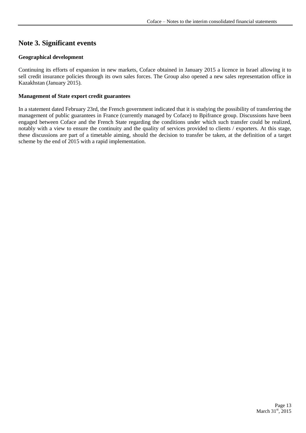## <span id="page-12-0"></span>**Note 3. Significant events**

#### **Geographical development**

Continuing its efforts of expansion in new markets, Coface obtained in January 2015 a licence in Israel allowing it to sell credit insurance policies through its own sales forces. The Group also opened a new sales representation office in Kazakhstan (January 2015).

#### **Management of State export credit guarantees**

In a statement dated February 23rd, the French government indicated that it is studying the possibility of transferring the management of public guarantees in France (currently managed by Coface) to Bpifrance group. Discussions have been engaged between Coface and the French State regarding the conditions under which such transfer could be realized, notably with a view to ensure the continuity and the quality of services provided to clients / exporters. At this stage, these discussions are part of a timetable aiming, should the decision to transfer be taken, at the definition of a target scheme by the end of 2015 with a rapid implementation.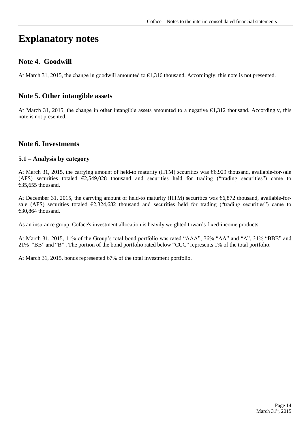# **Explanatory notes**

#### <span id="page-13-0"></span>**Note 4. Goodwill**

At March 31, 2015, the change in goodwill amounted to €1,316 thousand. Accordingly, this note is not presented.

#### <span id="page-13-1"></span>**Note 5. Other intangible assets**

At March 31, 2015, the change in other intangible assets amounted to a negative €1,312 thousand. Accordingly, this note is not presented.

#### <span id="page-13-2"></span>**Note 6. Investments**

#### **5.1 – Analysis by category**

At March 31, 2015, the carrying amount of held-to maturity (HTM) securities was €6,929 thousand, available-for-sale (AFS) securities totaled  $\epsilon$ 2,549,028 thousand and securities held for trading ("trading securities") came to €35,655 thousand.

At December 31, 2015, the carrying amount of held-to maturity (HTM) securities was  $\epsilon$ 6,872 thousand, available-forsale (AFS) securities totaled  $\epsilon$ 2,324,682 thousand and securities held for trading ("trading securities") came to €30,864 thousand.

As an insurance group, Coface's investment allocation is heavily weighted towards fixed-income products.

At March 31, 2015, 11% of the Group's total bond portfolio was rated "AAA", 36% "AA" and "A", 31% "BBB" and 21% "BB" and "B" . The portion of the bond portfolio rated below "CCC" represents 1% of the total portfolio.

At March 31, 2015, bonds represented 67% of the total investment portfolio.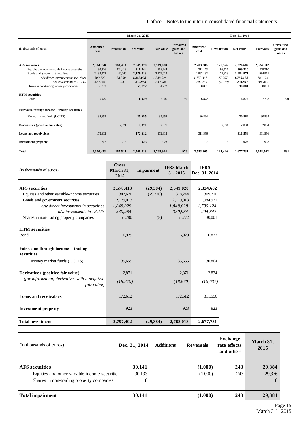|                                                |                          |                    | March 31, 2015 |                   |                                   |                          |                    | Dec. 31, 2014 |                   |                                          |
|------------------------------------------------|--------------------------|--------------------|----------------|-------------------|-----------------------------------|--------------------------|--------------------|---------------|-------------------|------------------------------------------|
| (in thousands of euros)                        | <b>Amortized</b><br>cost | <b>Revaluation</b> | Net value      | <b>Fair value</b> | Unrealized<br>gains and<br>losses | <b>Amortized</b><br>cost | <b>Revaluation</b> | Net value     | <b>Fair value</b> | <b>Unrealized</b><br>gains and<br>losses |
| <b>AFS</b> securities                          | 2,384,570                | 164,458            | 2,549,028      | 2,549,028         |                                   | 2,203,306                | 121,376            | 2,324,682     | 2,324,682         |                                          |
| Equities and other variable-income securities  | 193.826                  | 124,418            | 318,244        | 318,244           |                                   | 211.173                  | 98,537             | 309,710       | 309,710           |                                          |
| Bonds and government securities                | 2,138,972                | 40,040             | 2,179,013      | 2,179,013         |                                   | 1,962,132                | 22,838             | 1,984,971     | 1,984,971         |                                          |
| o/w direct investments in securities           | 1.809.729                | 38.300             | 1,848,028      | 1,848,028         |                                   | 1,752,367                | 27.757             | 1,780,124     | 1,780,124         |                                          |
| o/w investments in UCITS                       | 329,244                  | 1,741              | 330,984        | 330,984           |                                   | 209.765                  | (4.919)            | 204,847       | 204,847           |                                          |
| Shares in non-trading property companies       | 51,772                   |                    | 51,772         | 51,772            |                                   | 30,001                   |                    | 30,001        | 30,001            |                                          |
| <b>HTM</b> securities                          |                          |                    |                |                   |                                   |                          |                    |               |                   |                                          |
| <b>Bonds</b>                                   | 6.929                    |                    | 6.929          | 7.905             | 976                               | 6.872                    |                    | 6,872         | 7,703             | 831                                      |
| Fair value through income - trading securities |                          |                    |                |                   |                                   |                          |                    |               |                   |                                          |
| Money market funds (UCITS)                     | 35,655                   |                    | 35,655         | 35,655            |                                   | 30,864                   |                    | 30,864        | 30,864            |                                          |
| Derivatives (positive fair value)              |                          | 2,871              | 2,871          | 2,871             |                                   |                          | 2,834              | 2,834         | 2,834             |                                          |
| Loans and receivables                          | 172,612                  |                    | 172,612        | 172,612           |                                   | 311.556                  |                    | 311,556       | 311,556           |                                          |
| <b>Investment property</b>                     | 707                      | 216                | 923            | 923               |                                   | 707                      | 216                | 923           | 923               |                                          |
| <b>Total</b>                                   | 2,600,473                | 167,545            | 2,768,018      | 2,768,994         | 976                               | 2,553,305                | 124,426            | 2,677,731     | 2,678,562         | 831                                      |

| (in thousands of euros)                                      | <b>Gross</b><br>March 31,<br>2015 | <b>Impairment</b> | <b>IFRS March</b><br>31, 2015 | <b>IFRS</b><br>Dec. 31, 2014 |
|--------------------------------------------------------------|-----------------------------------|-------------------|-------------------------------|------------------------------|
| <b>AFS</b> securities                                        | 2,578,413                         | (29, 384)         | 2,549,028                     | 2,324,682                    |
| Equities and other variable-income securities                | 347,620                           | (29,376)          | 318,244                       | 309,710                      |
| Bonds and government securities                              | 2,179,013                         |                   | 2,179,013                     | 1,984,971                    |
| o/w direct investments in securities                         | 1,848,028                         |                   | 1,848,028                     | 1,780,124                    |
| o/w investments in UCITS                                     | 330.984                           |                   | 330.984                       | 204,847                      |
| Shares in non-trading property companies                     | 51,780                            | (8)               | 51,772                        | 30,001                       |
|                                                              |                                   |                   |                               |                              |
| <b>HTM</b> securities                                        |                                   |                   |                               |                              |
| <b>B</b> ond                                                 | 6,929                             |                   | 6,929                         | 6,872                        |
| Fair value through income – trading<br>securities            |                                   |                   |                               |                              |
| Money market funds (UCITS)                                   | 35,655                            |                   | 35,655                        | 30,864                       |
| Derivatives (positive fair value)                            | 2,871                             |                   | 2,871                         | 2,834                        |
| (for information, derivatives with a negative<br>fair value) | (18, 870)                         |                   | (18, 870)                     | (16, 037)                    |
| Loans and receivables                                        | 172,612                           |                   | 172,612                       | 311,556                      |
| <b>Investment property</b>                                   | 923                               |                   | 923                           | 923                          |
| <b>Total investments</b>                                     | 2,797,402                         | (29, 384)         | 2,768,018                     | 2,677,731                    |

| (in thousands of euros)                                                                                            | Dec. 31, 2014         | <b>Additions</b> | <b>Reversals</b>   | <b>Exchange</b><br>rate effects<br>and other | March 31,<br>2015     |
|--------------------------------------------------------------------------------------------------------------------|-----------------------|------------------|--------------------|----------------------------------------------|-----------------------|
| <b>AFS</b> securities<br>Equities and other variable-income securities<br>Shares in non-trading property companies | 30,141<br>30,133<br>8 |                  | (1,000)<br>(1,000) | 243<br>243                                   | 29,384<br>29,376<br>8 |
| <b>Total impairment</b>                                                                                            | 30,141                |                  | (1,000)            | 243                                          | 29,384                |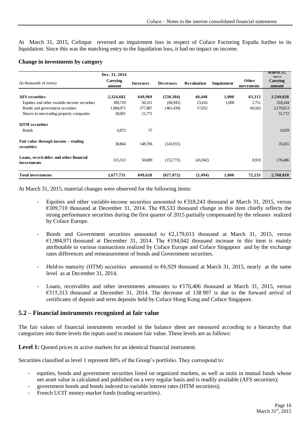At March 31, 2015, Cofinpar reversed an impairment loss in respect of Coface Factoring España further to its liquidation. Since this was the matching entry to the liquidation loss, it had no impact on income.

| <b>Change in investments by category</b> |  |  |
|------------------------------------------|--|--|
|------------------------------------------|--|--|

| (in thousands of euros)                               | Dec. 31, 2014<br>Carrying<br>amount | <b>Increases</b> | <b>Decreases</b> | <b>Revaluation</b> | <b>Impairment</b> | Other<br>movements | March 31,<br>2015<br>Carrying<br>amount |
|-------------------------------------------------------|-------------------------------------|------------------|------------------|--------------------|-------------------|--------------------|-----------------------------------------|
| <b>AFS</b> securities                                 | 2,324,682                           | 649,969          | (530, 384)       | 40,448             | 1,000             | 63,313             | 2,549,028                               |
| Equities and other variable-income securities         | 309,710                             | 50,311           | (68,945)         | 23,416             | 1,000             | 2,751              | 318,244                                 |
|                                                       |                                     |                  |                  |                    |                   |                    |                                         |
| Bonds and government securities                       | 1,984,971                           | 577,887          | (461, 439)       | 17,032             |                   | 60,562             | 2,179,013                               |
| Shares in non-trading property companies              | 30,001                              | 21,771           |                  |                    |                   |                    | 51,772                                  |
| <b>HTM</b> securities                                 |                                     |                  |                  |                    |                   |                    |                                         |
| <b>B</b> onds                                         | 6,872                               | 57               |                  |                    |                   |                    | 6,929                                   |
| Fair value through income – trading<br>securities     | 30,864                              | 148,706          | (143.915)        |                    |                   |                    | 35,655                                  |
| Loans, receivables and other financial<br>investments | 315,313                             | 50,889           | (152,773)        | (45,942)           |                   | 8,919              | 176,406                                 |
| Total investments                                     | 2,677,731                           | 849,620          | (827,072)        | (5, 494)           | 1,000             | 72,233             | 2,768,018                               |

At March 31, 2015, material changes were observed for the following items:

- Equities and other variable-income securities amounted to €318,243 thousand at March 31, 2015, versus €309,710 thousand at December 31, 2014. The €8,533 thousand change in this item chiefly reflects the strong performance securities during the first quarter of 2015 partially compensated by the releases realized by Coface Europe.
- Bonds and Government securities amounted to  $\epsilon$ 2,179,013 thousand at March 31, 2015, versus €1,984,971 thousand at December 31, 2014. The €194,042 thousand increase in this item is mainly attributable to various transactions realized by Coface Europe and Coface Singapoor and by the exchange rates differences and remeasurement of bonds and Government securities.
- Held-to maturity (HTM) securities amounted to  $66,929$  thousand at March 31, 2015, nearly at the same level as at December 31, 2014.
- Loans, receivables and other investments amountes to  $\epsilon$ 176,406 thousand at March 31, 2015, versus €315,313 thousand at December 31, 2014. The decrease of 138 907 is due to the forward arrival of certificates of deposit and term deposits held by Coface Hong Kong and Coface Singapore.

#### **5.2 – Financial instruments recognized at fair value**

The fair values of financial instruments recorded in the balance sheet are measured according to a hierarchy that categorizes into three levels the inputs used to measure fair value. These levels are as follows:

Level 1: Quoted prices in active markets for an identical financial instrument.

Securities classified as level 1 represent 80% of the Group's portfolio. They correspond to:

- equities, bonds and government securities listed on organized markets, as well as units in mutual funds whose net asset value is calculated and published on a very regular basis and is readily available (AFS securities);
- government bonds and bonds indexed to variable interest rates (HTM securities);
- French UCIT money-market funds (trading securities).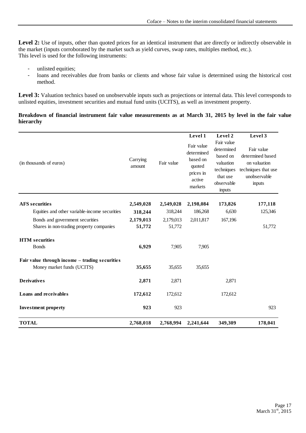Level 2: Use of inputs, other than quoted prices for an identical instrument that are directly or indirectly observable in the market (inputs corroborated by the market such as yield curves, swap rates, multiples method, etc.). This level is used for the following instruments:

- unlisted equities;
- loans and receivables due from banks or clients and whose fair value is determined using the historical cost method.

Level 3: Valuation technics based on unobservable inputs such as projections or internal data. This level corresponds to unlisted equities, investment securities and mutual fund units (UCITS), as well as investment property.

#### **Breakdown of financial instrument fair value measurements as at March 31, 2015 by level in the fair value hierarchy**

|                                                |                    |            | Level 1                                                                          | Level 2                                                                                             | Level 3                                                                                         |
|------------------------------------------------|--------------------|------------|----------------------------------------------------------------------------------|-----------------------------------------------------------------------------------------------------|-------------------------------------------------------------------------------------------------|
| (in thousands of euros)                        | Carrying<br>amount | Fair value | Fair value<br>determined<br>based on<br>quoted<br>prices in<br>active<br>markets | Fair value<br>determined<br>based on<br>valuation<br>techniques<br>that use<br>observable<br>inputs | Fair value<br>determined based<br>on valuation<br>techniques that use<br>unobservable<br>inputs |
| <b>AFS</b> securities                          | 2,549,028          | 2,549,028  | 2,198,084                                                                        | 173,826                                                                                             | 177,118                                                                                         |
| Equities and other variable-income securities  | 318,244            | 318,244    | 186,268                                                                          | 6,630                                                                                               | 125,346                                                                                         |
| Bonds and government securities                | 2,179,013          | 2,179,013  | 2,011,817                                                                        | 167,196                                                                                             |                                                                                                 |
| Shares in non-trading property companies       | 51,772             | 51,772     |                                                                                  |                                                                                                     | 51,772                                                                                          |
| <b>HTM</b> securities                          |                    |            |                                                                                  |                                                                                                     |                                                                                                 |
| <b>Bonds</b>                                   | 6,929              | 7,905      | 7,905                                                                            |                                                                                                     |                                                                                                 |
| Fair value through income - trading securities |                    |            |                                                                                  |                                                                                                     |                                                                                                 |
| Money market funds (UCITS)                     | 35,655             | 35,655     | 35,655                                                                           |                                                                                                     |                                                                                                 |
| <b>Derivatives</b>                             | 2,871              | 2,871      |                                                                                  | 2,871                                                                                               |                                                                                                 |
| Loans and receivables                          | 172,612            | 172,612    |                                                                                  | 172,612                                                                                             |                                                                                                 |
| <b>Investment property</b>                     | 923                | 923        |                                                                                  |                                                                                                     | 923                                                                                             |
| <b>TOTAL</b>                                   | 2,768,018          | 2,768,994  | 2,241,644                                                                        | 349,309                                                                                             | 178,041                                                                                         |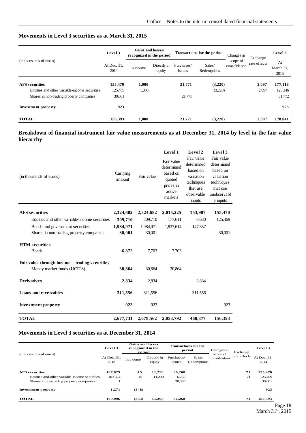#### **Movements in Level 3 securities as at March 31, 2015**

|                                               | Level 3                                                                                                           | <b>Gains and losses</b><br>recognized in the period | Transactions for the period |              | Changes in              | Exchange | Level 3 |
|-----------------------------------------------|-------------------------------------------------------------------------------------------------------------------|-----------------------------------------------------|-----------------------------|--------------|-------------------------|----------|---------|
| (in thousands of euros)                       | Sales/<br>At Dec. 31,<br>Directly in<br>Purchases/<br>In income<br>2014<br>Redemptions<br>equity<br><i>Issues</i> |                                                     | scope of<br>consolidation   | rate effects | At<br>March 31,<br>2015 |          |         |
| <b>AFS</b> securities                         | 155,470                                                                                                           | 1,000                                               | 21,771                      | (3,220)      |                         | 2,097    | 177,118 |
| Equities and other variable-income securities | 125,469                                                                                                           | 1,000                                               |                             | (3,220)      |                         | 2,097    | 125,346 |
| Shares in non-trading property companies      | 30,001                                                                                                            |                                                     | 21,771                      |              |                         |          | 51,772  |
| <b>Investment property</b>                    | 923                                                                                                               |                                                     |                             |              |                         |          | 923     |
| <b>TOTAL</b>                                  | 156,393                                                                                                           | 1,000                                               | 21,771                      | (3,220)      |                         | 2,097    | 178,041 |

#### **Breakdown of financial instrument fair value measurements as at December 31, 2014 by level in the fair value hierarchy**

| (in thousands of euros)                                                      | Carrying<br>amount  | Fair value          | Level 1<br>Fair value<br>determined<br>based on<br>quoted<br>prices in<br>active<br>markets | Level 2<br>Fair value<br>determined<br>based on<br>valuation<br>techniques<br>that use<br>observable<br>inputs | Level 3<br>Fair value<br>determined<br>based on<br>valuation<br>techniques<br>that use<br>unobservabl<br>e inputs |
|------------------------------------------------------------------------------|---------------------|---------------------|---------------------------------------------------------------------------------------------|----------------------------------------------------------------------------------------------------------------|-------------------------------------------------------------------------------------------------------------------|
| <b>AFS</b> securities                                                        | 2,324,682           | 2,324,682           | 2,015,225                                                                                   | 153,987                                                                                                        | 155,470                                                                                                           |
| Equities and other variable-income securities                                | 309,710             | 309,710             | 177,611                                                                                     | 6,630                                                                                                          | 125,469                                                                                                           |
| Bonds and government securities<br>Shares in non-trading property companies  | 1,984,971<br>30,001 | 1,984,971<br>30,001 | 1,837,614                                                                                   | 147,357                                                                                                        | 30,001                                                                                                            |
| <b>HTM</b> securities                                                        |                     |                     |                                                                                             |                                                                                                                |                                                                                                                   |
| <b>B</b> onds                                                                | 6,872               | 7,703               | 7,703                                                                                       |                                                                                                                |                                                                                                                   |
| Fair value through income - trading securities<br>Money market funds (UCITS) | 30,864              | 30,864              | 30,864                                                                                      |                                                                                                                |                                                                                                                   |
| <b>Derivatives</b>                                                           | 2,834               | 2,834               |                                                                                             | 2,834                                                                                                          |                                                                                                                   |
| <b>Loans and receivables</b>                                                 | 311,556             | 311,556             |                                                                                             | 311,556                                                                                                        |                                                                                                                   |
| <b>Investment property</b>                                                   | 923                 | 923                 |                                                                                             |                                                                                                                | 923                                                                                                               |
| <b>TOTAL</b>                                                                 | 2,677,731           | 2,678,562           | 2,053,792                                                                                   | 468,377                                                                                                        | 156,393                                                                                                           |

#### **Movements in Level 3 securities as at December 31, 2014**

| (in thousands of euros)                       | Level 3             | <b>Gains and losses</b><br>recognized in the<br>period |                       | <b>Transactions for the</b><br>period |                       | Changes in                | Exchange     | Level 3             |  |
|-----------------------------------------------|---------------------|--------------------------------------------------------|-----------------------|---------------------------------------|-----------------------|---------------------------|--------------|---------------------|--|
|                                               | At Dec. 31,<br>2013 | In income                                              | Directly in<br>equity | Purchases/<br><b>Issues</b>           | Sales/<br>Redemptions | scope of<br>consolidation | rate effects | At Dec. 31,<br>2014 |  |
| <b>AFS</b> securities                         | 107,825             | 15                                                     | 11,290                | 36,268                                |                       |                           | 71           | 155,470             |  |
| Equities and other variable-income securities | 107,824             | 15                                                     | 11,290                | 6,268                                 |                       |                           | 71           | 125,469             |  |
| Shares in non-trading property companies      |                     |                                                        |                       | 30,000                                |                       |                           |              | 30,001              |  |
| <b>Investment property</b>                    | 1,271               | (348)                                                  |                       |                                       |                       |                           |              | 923                 |  |
| <b>TOTAL</b>                                  | 109,096             | (333)                                                  | 11,290                | 36,268                                |                       |                           | 71           | 156,393             |  |
|                                               |                     |                                                        |                       |                                       |                       |                           |              |                     |  |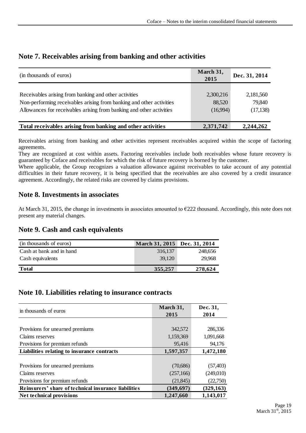| (in thousands of euros)                                                                                                                                                                               | March 31,<br>2015               | Dec. 31, 2014                    |
|-------------------------------------------------------------------------------------------------------------------------------------------------------------------------------------------------------|---------------------------------|----------------------------------|
| Receivables arising from banking and other activities<br>Non-performing receivables arising from banking and other activities<br>Allowances for receivables arising from banking and other activities | 2,300,216<br>88,520<br>(16,994) | 2,181,560<br>79,840<br>(17, 138) |
| Total receivables arising from banking and other activities                                                                                                                                           | 2,371,742                       | 2,244,262                        |

#### <span id="page-18-0"></span>**Note 7. Receivables arising from banking and other activities**

Receivables arising from banking and other activities represent receivables acquired within the scope of factoring agreements.

They are recognized at cost within assets. Factoring receivables include both receivables whose future recovery is guaranteed by Coface and receivables for which the risk of future recovery is borned by the customer.

Where applicable, the Group recognizes a valuation allowance against receivables to take account of any potential difficulties in their future recovery, it is being specified that the receivables are also covered by a credit insurance agreement. Accordingly, the related risks are covered by claims provisions.

## <span id="page-18-1"></span>**Note 8. Investments in associates**

At March 31, 2015, the change in investments in associates amounted to €222 thousand. Accordingly, this note does not present any material changes.

## <span id="page-18-2"></span>**Note 9. Cash and cash equivalents**

| (in thousands of euros)  | March 31, 2015 Dec. 31, 2014 |         |
|--------------------------|------------------------------|---------|
| Cash at bank and in hand | 316,137                      | 248,656 |
| Cash equivalents         | 39,120                       | 29.968  |
| <b>Total</b>             | 355,257                      | 278,624 |

#### <span id="page-18-3"></span>**Note 10. Liabilities relating to insurance contracts**

| in thousands of euros                                | March 31,  | Dec. 31,   |
|------------------------------------------------------|------------|------------|
|                                                      | 2015       | 2014       |
|                                                      |            |            |
| Provisions for unearned premiums                     | 342,572    | 286,336    |
| Claims reserves                                      | 1,159,369  | 1,091,668  |
| Provisions for premium refunds                       | 95,416     | 94,176     |
| Liabilities relating to insurance contracts          | 1,597,357  | 1,472,180  |
|                                                      |            |            |
| Provisions for unearned premiums                     | (70,686)   | (57, 403)  |
| Claims reserves                                      | (257,166)  | (249,010)  |
| Provisions for premium refunds                       | (21, 845)  | (22,750)   |
| Reinsurers' share of technical insurance liabilities | (349, 697) | (329, 163) |
| <b>Net technical provisions</b>                      | 1,247,660  | 1,143,017  |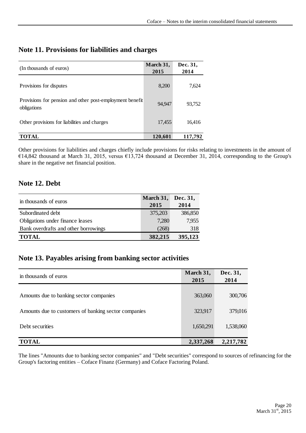| (In thousands of euros)                                                 | March 31,<br>2015 | Dec. 31,<br>2014 |
|-------------------------------------------------------------------------|-------------------|------------------|
| Provisions for disputes                                                 | 8,200             | 7,624            |
| Provisions for pension and other post-employment benefit<br>obligations | 94.947            | 93,752           |
| Other provisions for liabilities and charges                            | 17,455            | 16,416           |
| <b>TOTAL</b>                                                            | 120,601           | 117,792          |

## <span id="page-19-0"></span>**Note 11. Provisions for liabilities and charges**

Other provisions for liabilities and charges chiefly include provisions for risks relating to investments in the amount of €14,842 thousand at March 31, 2015, versus €13,724 thousand at December 31, 2014, corresponding to the Group's share in the negative net financial position.

## <span id="page-19-1"></span>**Note 12. Debt**

| in thousands of euros                | March 31, | Dec. 31, |
|--------------------------------------|-----------|----------|
|                                      | 2015      | 2014     |
| Subordinated debt                    | 375,203   | 386,850  |
| Obligations under finance leases     | 7,280     | 7,955    |
| Bank overdrafts and other borrowings | (268)     | 318      |
| <b>TOTAL</b>                         | 382,215   | 395,123  |

## <span id="page-19-2"></span>**Note 13. Payables arising from banking sector activities**

| in thousands of euros                                | March 31,<br>2015 | Dec. 31,<br>2014 |
|------------------------------------------------------|-------------------|------------------|
| Amounts due to banking sector companies              | 363,060           | 300,706          |
| Amounts due to customers of banking sector companies | 323,917           | 379,016          |
| Debt securities                                      | 1,650,291         | 1,538,060        |
| <b>TOTAL</b>                                         | 2,337,268         | 2,217,782        |

The lines "Amounts due to banking sector companies" and "Debt securities" correspond to sources of refinancing for the Group's factoring entities – Coface Finanz (Germany) and Coface Factoring Poland.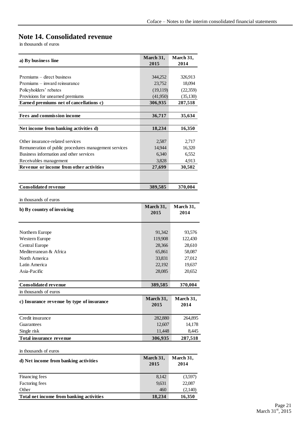## <span id="page-20-0"></span>**Note 14. Consolidated revenue**

in thousands of euros

| a) By business line                                   | March 31,<br>2015 | March 31,<br>2014 |
|-------------------------------------------------------|-------------------|-------------------|
|                                                       |                   |                   |
| Premiums – direct business                            | 344,252           | 326,913           |
| Premiums – inward reinsurance                         | 23,752            | 18,094            |
| Policyholders' rebates                                | (19, 119)         | (22, 359)         |
| Provisions for unearned premiums                      | (41,950)          | (35,130)          |
| Earned premiums net of cancellations c)               | 306,935           | 287,518           |
| <b>Fees and commission income</b>                     | 36,717            | 35,634            |
| Net income from banking activities d)                 | 18,234            | 16,350            |
|                                                       |                   |                   |
| Other insurance-related services                      | 2,587             | 2,717             |
| Remuneration of public procedures management services | 14,944            | 16,320            |
| Business information and other services               | 6,340             | 6,552             |
| Receivables management                                | 3,828             | 4,913             |
| Revenue or income from other activities               | 27,699            | 30,502            |
|                                                       |                   |                   |
| Consolidated revenue                                  | 389,585           | 370,004           |
|                                                       |                   |                   |
| in thousands of euros                                 |                   |                   |
| b) By country of invoicing                            | March 31,         | March 31,         |
|                                                       | 2015              | 2014              |
|                                                       |                   |                   |
| Northern Europe                                       | 91,342            | 93,576            |
| Western Europe                                        | 119,908           | 122,430           |
| Central Europe                                        | 28,366            | 28,610            |
| Mediterranean & Africa                                | 65,861            | 58,087            |
| North America                                         | 33,831            | 27,012            |
| Latin America                                         | 22,192            | 19,637            |
| Asia-Pacific                                          | 28,085            | 20,652            |
|                                                       |                   |                   |
| Consolidated revenue                                  | 389,585           | 370,004           |
| in thousands of euros                                 |                   |                   |
|                                                       | March 31,         | March 31,         |
| c) Insurance revenue by type of insurance             | 2015              | 2014              |
|                                                       |                   |                   |
| Credit insurance                                      | 282,880           | 264,895           |
| Guarantees                                            | 12,607            | 14,178            |
| Single risk                                           | 11,448            | 8,445             |
| Total insurance revenue                               | 306,935           | 287,518           |
| in thousands of euros                                 |                   |                   |
|                                                       | March 31,         | March 31,         |
| d) Net income from banking activities                 | 2015              | 2014              |
| Financing fees                                        | 8,142             | (3,597)           |
| Factoring fees                                        | 9,631             | 22,087            |
| Other                                                 | 460               | (2,140)           |
| Total net income from banking activities              | 18,234            | 16,350            |
|                                                       |                   |                   |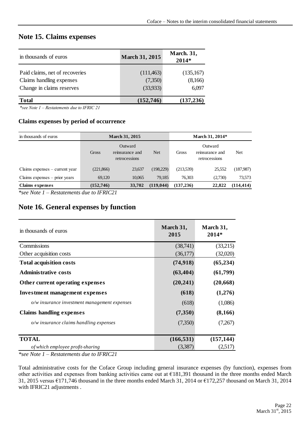## <span id="page-21-0"></span>**Note 15. Claims expenses**

| in thousands of euros                                                                   | <b>March 31, 2015</b>             | <b>March. 31,</b><br>2014*    |  |  |
|-----------------------------------------------------------------------------------------|-----------------------------------|-------------------------------|--|--|
| Paid claims, net of recoveries<br>Claims handling expenses<br>Change in claims reserves | (111, 463)<br>(7,350)<br>(33,933) | (135,167)<br>(8,166)<br>6,097 |  |  |
| <b>Total</b>                                                                            | (152, 746)                        | (137, 236)                    |  |  |

*\*see Note 1 – Restatements due to IFRIC 21*

#### **Claims expenses by period of occurrence**

| in thousands of euros            |            | <b>March 31, 2015</b>                       |            | March 31, 2014* |                                             |            |
|----------------------------------|------------|---------------------------------------------|------------|-----------------|---------------------------------------------|------------|
|                                  | Gross      | Outward<br>reinsurance and<br>retrocessions | <b>Net</b> | Gross           | Outward<br>reinsurance and<br>retrocessions | Net        |
| Claims expenses $-$ current year | (221, 866) | 23,637                                      | (198,229)  | (213,539)       | 25,552                                      | (187,987)  |
| Claims expenses $-$ prior years  | 69.120     | 10.065                                      | 79.185     | 76.303          | (2,730)                                     | 73,573     |
| <b>Claims expenses</b>           | (152, 746) | 33,702                                      | (119, 044) | (137, 236)      | 22,822                                      | (114, 414) |

*\*see Note 1 – Restatements due to IFRIC21*

## <span id="page-21-1"></span>**Note 16. General expenses by function**

| in thousands of euros                        | March 31,<br>2015 | March 31,<br>$2014*$ |
|----------------------------------------------|-------------------|----------------------|
| Commissions                                  | (38,741)          | (33,215)             |
| Other acquisition costs                      | (36,177)          | (32,020)             |
| <b>Total acquisition costs</b>               | (74, 918)         | (65, 234)            |
| <b>Administrative costs</b>                  | (63, 404)         | (61,799)             |
| Other current operating expenses             | (20, 241)         | (20, 668)            |
| <b>Investment management expenses</b>        | (618)             | (1,276)              |
| o/w insurance investment management expenses | (618)             | (1,086)              |
| Claims handling expenses                     | (7,350)           | (8,166)              |
| $o/w$ insurance claims handling expenses     | (7,350)           | (7,267)              |
|                                              |                   |                      |
| <b>TOTAL</b>                                 | (166, 531)        | (157, 144)           |
| of which employee profit-sharing             | (3,387)           | (2,517)              |

*\*see Note 1 – Restatements due to IFRIC21*

Total administrative costs for the Coface Group including general insurance expenses (by function), expenses from other activities and expenses from banking activities came out at €181,391 thousand in the three months ended March 31, 2015 versus €171,746 thousand in the three months ended March 31, 2014 or €172,257 thousand on March 31, 2014 with IFRIC21 adjustments .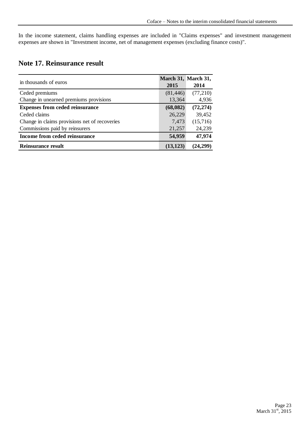In the income statement, claims handling expenses are included in "Claims expenses" and investment management expenses are shown in "Investment income, net of management expenses (excluding finance costs)".

## <span id="page-22-0"></span>**Note 17. Reinsurance result**

|                                               |           | March 31, March 31, |
|-----------------------------------------------|-----------|---------------------|
| in thousands of euros                         | 2015      | 2014                |
| Ceded premiums                                | (81, 446) | (77,210)            |
| Change in unearned premiums provisions        | 13,364    | 4,936               |
| <b>Expenses from ceded reinsurance</b>        | (68, 082) | (72, 274)           |
| Ceded claims                                  | 26,229    | 39,452              |
| Change in claims provisions net of recoveries | 7,473     | (15,716)            |
| Commissions paid by reinsurers                | 21,257    | 24,239              |
| Income from ceded reinsurance                 | 54,959    | 47,974              |
| <b>Reinsurance result</b>                     | (13, 123) | (24,299)            |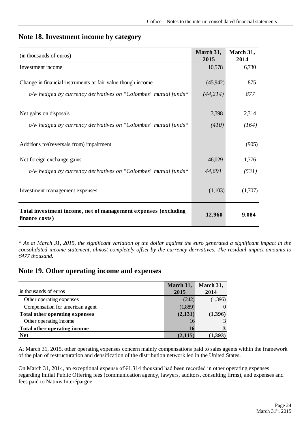| (in thousands of euros)                                                          | March 31,<br>2015 | March 31,<br>2014 |
|----------------------------------------------------------------------------------|-------------------|-------------------|
| Investment income                                                                | 10,578            | 6,730             |
| Change in financial instruments at fair value though income                      | (45, 942)         | 875               |
| o/w hedged by currency derivatives on "Colombes" mutual funds*                   | (44, 214)         | 877               |
|                                                                                  |                   |                   |
| Net gains on disposals                                                           | 3,398             | 2,314             |
| o/w hedged by currency derivatives on "Colombes" mutual funds*                   | (410)             | (164)             |
| Additions to/(reversals from) impairment                                         |                   | (905)             |
| Net foreign exchange gains                                                       | 46,029            | 1,776             |
| o/w hedged by currency derivatives on "Colombes" mutual funds*                   | 44,691            | (531)             |
| Investment management expenses                                                   | (1,103)           | (1,707)           |
| Total investment income, net of management expenses (excluding<br>finance costs) | 12,960            | 9,084             |

#### <span id="page-23-0"></span>**Note 18. Investment income by category**

*\* As at March 31, 2015, the significant variation of the dollar against the euro generated a significant impact in the consolidated income statement, almost completely offset by the currency derivatives. The residual impact amounts to €477 thousand.* 

## <span id="page-23-1"></span>**Note 19. Other operating income and expenses**

|                                 | March 31, | March 31, |
|---------------------------------|-----------|-----------|
| in thousands of euros           | 2015      | 2014      |
| Other operating expenses        | (242)     | (1,396)   |
| Compensation for american agent | (1,889)   |           |
| Total other operating expenses  | (2,131)   | (1,396)   |
| Other operating income          | 16        |           |
| Total other operating income    | 16        |           |
| <b>Net</b>                      | (2, 115)  | (1.393    |

At March 31, 2015, other operating expenses concern mainly compensations paid to sales agents within the framework of the plan of restructuration and densification of the distribution network led in the United States.

On March 31, 2014, an exceptional expense of €1,314 thousand had been recorded in other operating expenses regarding Initial Public Offering fees (communication agency, lawyers, auditors, consulting firms), and expenses and fees paid to Natixis Interépargne.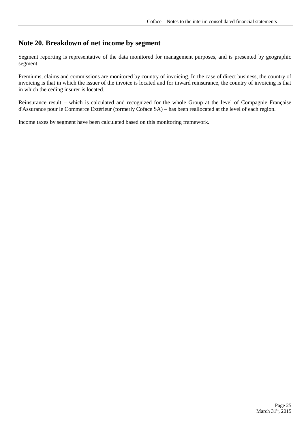## <span id="page-24-0"></span>**Note 20. Breakdown of net income by segment**

Segment reporting is representative of the data monitored for management purposes, and is presented by geographic segment.

Premiums, claims and commissions are monitored by country of invoicing. In the case of direct business, the country of invoicing is that in which the issuer of the invoice is located and for inward reinsurance, the country of invoicing is that in which the ceding insurer is located.

Reinsurance result – which is calculated and recognized for the whole Group at the level of Compagnie Française d'Assurance pour le Commerce Extérieur (formerly Coface SA) – has been reallocated at the level of each region.

Income taxes by segment have been calculated based on this monitoring framework.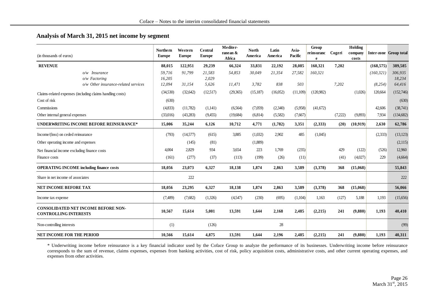#### **Analysis of March 31, 2015 net income by segment**

| (in thousands of euros)                                                    | <b>Northern</b><br><b>Europe</b> | Western<br><b>Europe</b> | Central<br><b>Europe</b> | Mediter-<br>ranean &<br>Africa | <b>North</b><br>America | Latin<br>America | Asia-<br>Pacific | Group<br>reinsuranc<br>e | Cogeri  | Holding<br>company<br>costs |            | Inter-zone Group total |
|----------------------------------------------------------------------------|----------------------------------|--------------------------|--------------------------|--------------------------------|-------------------------|------------------|------------------|--------------------------|---------|-----------------------------|------------|------------------------|
| <b>REVENUE</b>                                                             | 88,015                           | 122,951                  | 29,239                   | 66,324                         | 33,831                  | 22,192           | 28,085           | 160,321                  | 7,202   |                             | (168, 575) | 389,585                |
| o/w Insurance                                                              | 59.716                           | 91,799                   | 21.583                   | 54,853                         | 30,049                  | 21,354           | 27,582           | 160,321                  |         |                             | (160, 321) | 306.935                |
| $o/w$ Factoring                                                            | 16,205                           |                          | 2,029                    |                                |                         |                  |                  |                          |         |                             |            | 18,234                 |
| o/w Other insurance-related services                                       | 12,094                           | 31,154                   | 5,626                    | 11,471                         | 3,782                   | 838              | 503              |                          | 7,202   |                             | (8, 254)   | 64,416                 |
| Claims-related expenses (including claims handling costs)                  | (34,530)                         | (32, 642)                | (12,517)                 | (29,365)                       | (15, 187)               | (16,052)         | (11,109)         | (120.982)                |         | (1,026)                     | 120,664    | (152,746)              |
| Cost of risk                                                               | (630)                            |                          |                          |                                |                         |                  |                  |                          |         |                             |            | (630)                  |
| Commissions                                                                | (4,833)                          | (11,782)                 | (1,141)                  | (6,564)                        | (7,059)                 | (2,340)          | (5,958)          | (41,672)                 |         |                             | 42,606     | (38,741)               |
| Other internal general expenses                                            | (33,016)                         | (43,283)                 | (9,455)                  | (19, 684)                      | (6,814)                 | (5,582)          | (7,667)          |                          | (7,222) | (9,893)                     | 7,934      | (134, 682)             |
| <b>UNDERWRITING INCOME BEFORE REINSURANCE*</b>                             | 15,006                           | 35,244                   | 6,126                    | 10,712                         | 4,771                   | (1,782)          | 3,351            | (2,333)                  | (20)    | (10, 919)                   | 2,630      | 62,786                 |
| Income/(loss) on ceded reinsurance                                         | (793)                            | (14,577)                 | (615)                    | 3,885                          | (1,032)                 | 2,902            | 485              | (1,045)                  |         |                             | (2,333)    | (13, 123)              |
| Other operating income and expenses                                        |                                  | (145)                    | (81)                     |                                | (1,889)                 |                  |                  |                          |         |                             |            | (2,115)                |
| Net financial income excluding finance costs                               | 4,004                            | 2,829                    | 934                      | 3,654                          | 223                     | 1,769            | (235)            |                          | 429     | (122)                       | (526)      | 12,960                 |
| Finance costs                                                              | (161)                            | (277)                    | (37)                     | (113)                          | (199)                   | (26)             | (11)             |                          | (41)    | (4,027)                     | 229        | (4,664)                |
| <b>OPERATING INCOME including finance costs</b>                            | 18,056                           | 23,073                   | 6,327                    | 18,138                         | 1,874                   | 2,863            | 3,589            | (3,378)                  | 368     | (15,068)                    |            | 55,843                 |
| Share in net income of associates                                          |                                  | 222                      |                          |                                |                         |                  |                  |                          |         |                             |            | 222                    |
| <b>NET INCOME BEFORE TAX</b>                                               | 18,056                           | 23,295                   | 6,327                    | 18,138                         | 1,874                   | 2,863            | 3,589            | (3,378)                  | 368     | (15,068)                    |            | 56,066                 |
| Income tax expense                                                         | (7,489)                          | (7,682)                  | (1,326)                  | (4,547)                        | (230)                   | (695)            | (1,104)          | 1,163                    | (127)   | 5,188                       | 1,193      | (15,656)               |
| <b>CONSOLIDATED NET INCOME BEFORE NON-</b><br><b>CONTROLLING INTERESTS</b> | 10,567                           | 15,614                   | 5,001                    | 13,591                         | 1,644                   | 2,168            | 2,485            | (2,215)                  | 241     | (9,880)                     | 1,193      | 40,410                 |
| Non-controlling interests                                                  | (1)                              |                          | (126)                    |                                |                         | 28               |                  |                          |         |                             |            | (99)                   |
| <b>NET INCOME FOR THE PERIOD</b>                                           | 10,566                           | 15,614                   | 4,875                    | 13,591                         | 1,644                   | 2,196            | 2,485            | (2,215)                  | 241     | (9, 880)                    | 1,193      | 40,311                 |

\* Underwriting income before reinsurance is a key financial indicator used by the Coface Group to analyze the performance of its businesses. Underwriting income before reinsurance corresponds to the sum of revenue, claims expenses, expenses from banking activities, cost of risk, policy acquisition costs, administrative costs, and other current operating expenses, and expenses from other activities.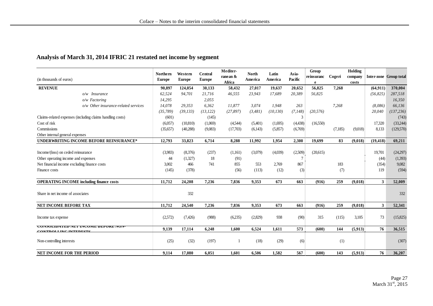#### **Analysis of March 31, 2014 IFRIC 21 restated net income by segment**

|                                                           | <b>Northern</b> | Western       | Central       | Mediter-           | <b>North</b> | Latin     | Asia-    | Group      |         | Holding          |              |                        |
|-----------------------------------------------------------|-----------------|---------------|---------------|--------------------|--------------|-----------|----------|------------|---------|------------------|--------------|------------------------|
| (in thousands of euros)                                   | <b>Europe</b>   | <b>Europe</b> | <b>Europe</b> | ranean &<br>Africa | America      | America   | Pacific  | reinsuranc | Cogeri  | company<br>costs |              | Inter-zone Group total |
| <b>REVENUE</b>                                            | 90,897          | 124,054       | 30,133        | 58,432             | 27,017       | 19.637    | 20,652   | 56,825     | 7,268   |                  | (64, 911)    | 370,004                |
| $o/w$ Insurance                                           | 62.524          | 94,701        | 21,716        | 46,555             | 23,943       | 17,689    | 20,389   | 56,825     |         |                  | (56, 825)    | 287,518                |
| o/w Factoring                                             | 14,295          |               | 2,055         |                    |              |           |          |            |         |                  |              | 16,350                 |
| o/w Other insurance-related services                      | 14,078          | 29,353        | 6,362         | 11,877             | 3.074        | 1.948     | 263      |            | 7.268   |                  | (8,086)      | 66.136                 |
|                                                           | (35,789)        | (39, 133)     | (13, 122)     | (27, 897)          | (3, 481)     | (10, 130) | (7, 148) | (20, 576)  |         |                  | 20,040       | (137, 236)             |
| Claims-related expenses (including claims handling costs) | (601)           |               | (145)         |                    |              |           | 3        |            |         |                  |              | (743)                  |
| Cost of risk                                              | (6,057)         | (10, 810)     | (1,069)       | (4,544)            | (5,401)      | (1,695)   | (4, 438) | (16,550)   |         |                  | 17,320       | (33,244)               |
| Commissions                                               | (35, 657)       | (40, 288)     | (9,083)       | (17,703)           | (6,143)      | (5,857)   | (6,769)  |            | (7,185) | (9,018)          | 8,133        | (129,570)              |
| Other internal general expenses                           |                 |               |               |                    |              |           |          |            |         |                  |              |                        |
| UNDERWRITING INCOME BEFORE REINSURANCE*                   | 12,793          | 33,823        | 6,714         | 8,288              | 11,992       | 1,954     | 2,300    | 19,699     | 83      | (9,018)          | (19, 418)    | 69,211                 |
|                                                           |                 |               |               |                    |              |           |          |            |         |                  |              |                        |
| Income/(loss) on ceded reinsurance                        | (3,983)         | (8,376)       | (237)         | (1,161)            | (3,079)      | (4,039)   | (2,509)  | (20,615)   |         |                  | 19,701       | (24,297)               |
| Other operating income and expenses                       | 44              | (1,327)       | 18            | (91)               |              |           | 7        |            |         |                  | (44)         | (1,393)                |
| Net financial income excluding finance costs              | 3,002           | 466           | 741           | 855                | 553          | 2,769     | 867      |            | 183     |                  | (354)        | 9,082                  |
| Finance costs                                             | (145)           | (378)         |               | (56)               | (113)        | (12)      | (3)      |            | (7)     |                  | 119          | (594)                  |
|                                                           |                 |               |               |                    |              |           |          |            |         |                  |              |                        |
| <b>OPERATING INCOME including finance costs</b>           | 11,712          | 24,208        | 7,236         | 7,836              | 9,353        | 673       | 663      | (916)      | 259     | (9,018)          | $\mathbf{3}$ | 52,009                 |
|                                                           |                 |               |               |                    |              |           |          |            |         |                  |              |                        |
| Share in net income of associates                         |                 | 332           |               |                    |              |           |          |            |         |                  |              | 332                    |
|                                                           |                 |               |               |                    |              |           |          |            |         |                  |              |                        |
| NET INCOME BEFORE TAX                                     | 11,712          | 24,540        | 7,236         | 7,836              | 9,353        | 673       | 663      | (916)      | 259     | (9,018)          | $\mathbf{3}$ | 52,341                 |
|                                                           |                 |               |               |                    |              | 938       |          | 315        |         |                  |              |                        |
| Income tax expense                                        | (2,572)         | (7, 426)      | (988)         | (6,235)            | (2,829)      |           | (90)     |            | (115)   | 3,105            | 73           | (15,825)               |
| CONSOLIDATED NET INCOME BEFORE NON-                       | 9,139           | 17,114        | 6,248         | 1,600              | 6,524        | 1,611     | 573      | (600)      | 144     | (5,913)          | 76           | 36,515                 |
| CONTROL LING INTERFETS                                    |                 |               |               |                    |              |           |          |            |         |                  |              |                        |
| Non-controlling interests                                 | (25)            | (32)          | (197)         |                    | (18)         | (29)      | (6)      |            | (1)     |                  |              | (307)                  |
|                                                           |                 |               |               |                    |              |           |          |            |         |                  |              |                        |
| <b>NET INCOME FOR THE PERIOD</b>                          | 9,114           | 17.080        | 6,051         | 1.601              | 6.506        | 1,582     | 567      | (600)      | 143     | (5, 913)         | 76           | 36,207                 |
|                                                           |                 |               |               |                    |              |           |          |            |         |                  |              |                        |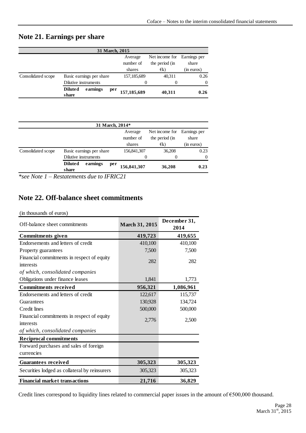## <span id="page-27-0"></span>**Note 21. Earnings per share**

| 31 March, 2015     |                          |          |             |                           |                |              |  |  |  |  |
|--------------------|--------------------------|----------|-------------|---------------------------|----------------|--------------|--|--|--|--|
|                    |                          |          |             | Net income for<br>Average |                | Earnings per |  |  |  |  |
|                    |                          |          |             | number of                 | the period (in | share        |  |  |  |  |
|                    |                          |          |             | shares                    | $\in$ k)       | (in euros)   |  |  |  |  |
| Consolidated scope | Basic earnings per share |          | 157,185,689 | 40,311                    | 0.26           |              |  |  |  |  |
|                    | Dilutive instruments     |          |             | 0                         | 0              | $\Omega$     |  |  |  |  |
|                    | <b>Diluted</b><br>share  | earnings | per         | 157,185,689               | 40,311         | 0.26         |  |  |  |  |

| 31 March, 2014*      |                                     |     |             |                |              |  |  |  |  |  |
|----------------------|-------------------------------------|-----|-------------|----------------|--------------|--|--|--|--|--|
|                      |                                     |     | Average     | Net income for | Earnings per |  |  |  |  |  |
|                      |                                     |     | number of   | the period (in | share        |  |  |  |  |  |
|                      |                                     |     | shares      | $\in$ k)       | (in euros)   |  |  |  |  |  |
| Consolidated scope   | Basic earnings per share            |     | 156,841,307 | 36,208         | 0.23         |  |  |  |  |  |
| Dilutive instruments |                                     | 0   | 0           | $\Omega$       |              |  |  |  |  |  |
|                      | <b>Diluted</b><br>earnings<br>share | per | 156,841,307 | 36,208         | 0.23         |  |  |  |  |  |

*\*see Note 1 – Restatements due to IFRIC21*

## <span id="page-27-1"></span>**Note 22. Off-balance sheet commitments**

#### (in thousands of euros)

| $(n)$ undertakened by $(n)$ curves<br>Off-balance sheet commitments | <b>March 31, 2015</b> | December 31,<br>2014 |  |  |
|---------------------------------------------------------------------|-----------------------|----------------------|--|--|
| <b>Commitments</b> given                                            | 419,723               | 419,655              |  |  |
| Endorsements and letters of credit                                  | 410,100               | 410,100              |  |  |
| Property guarantees                                                 | 7,500                 | 7,500                |  |  |
| Financial commitments in respect of equity<br>interests             | 282                   | 282                  |  |  |
| of which, consolidated companies                                    |                       |                      |  |  |
| Obligations under finance leases                                    | 1,841                 | 1,773                |  |  |
| <b>Commitments received</b>                                         | 956,321               | 1,086,961            |  |  |
| Endorsements and letters of credit                                  | 122,617               | 115,737              |  |  |
| Guarantees                                                          | 130,928               | 134,724              |  |  |
| Credit lines                                                        | 500,000               | 500,000              |  |  |
| Financial commitments in respect of equity<br>interests             | 2,776                 | 2,500                |  |  |
| of which, consolidated companies                                    |                       |                      |  |  |
| <b>Reciprocal commitments</b>                                       |                       |                      |  |  |
| Forward purchases and sales of foreign                              |                       |                      |  |  |
| currencies                                                          |                       |                      |  |  |
| <b>Guarantees received</b>                                          | 305,323               | 305,323              |  |  |
| Securities lodged as collateral by reinsurers                       | 305,323               | 305,323              |  |  |
| <b>Financial market transactions</b>                                | 21,716                | 36,829               |  |  |

Credit lines correspond to liquidity lines related to commercial paper issues in the amount of €500,000 thousand.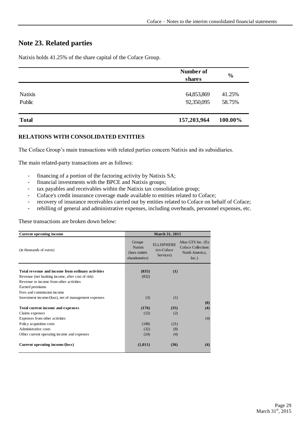## <span id="page-28-0"></span>**Note 23. Related parties**

Natixis holds 41.25% of the share capital of the Coface Group.

|                          | Number of<br>shares      | $\frac{6}{6}$    |  |
|--------------------------|--------------------------|------------------|--|
| <b>Natixis</b><br>Public | 64,853,869<br>92,350,095 | 41.25%<br>58.75% |  |
| <b>Total</b>             | 157,203,964              | 100.00%          |  |

#### **RELATIONS WITH CONSOLIDATED ENTITIES**

The Coface Group's main transactions with related parties concern Natixis and its subsidiaries.

The main related-party transactions are as follows:

- financing of a portion of the factoring activity by Natixis SA;
- financial investments with the BPCE and Natixis groups;
- tax payables and receivables within the Natixis tax consolidation group;
- Coface's credit insurance coverage made available to entities related to Coface;
- recovery of insurance receivables carried out by entities related to Coface on behalf of Coface;
- rebilling of general and administrative expenses, including overheads, personnel expenses, etc.

These transactions are broken down below:

| <b>Current operating income</b>                      |                                                           | March 31, 2015                               |                                                                     |
|------------------------------------------------------|-----------------------------------------------------------|----------------------------------------------|---------------------------------------------------------------------|
| (in thousands of euros)                              | Groupe<br><b>Natixis</b><br>(hors entités<br>abandonnées) | <b>ELLISPHERE</b><br>(ex-Coface<br>Services) | Altus GTS Inc. (Ex<br>Coface Collections<br>North America,<br>Inc.) |
| Total revenue and income from ordinary activities    | (835)                                                     | (1)                                          |                                                                     |
| Revenue (net banking income, after cost of risk)     | (832)                                                     |                                              |                                                                     |
| Revenue or income from other activities              |                                                           |                                              |                                                                     |
| Earned premiums                                      |                                                           |                                              |                                                                     |
| Fees and commission income                           |                                                           |                                              |                                                                     |
| Investment income/(loss), net of management expenses | (3)                                                       | (1)                                          |                                                                     |
|                                                      |                                                           |                                              | (0)                                                                 |
| Total current income and expenses                    | (176)                                                     | (35)                                         | (4)                                                                 |
| Claims expenses                                      | (12)                                                      | (2)                                          |                                                                     |
| Expenses from other activities                       |                                                           |                                              | (4)                                                                 |
| Policy acquisition costs                             | (108)                                                     | (21)                                         |                                                                     |
| Administrative costs                                 | (32)                                                      | (8)                                          |                                                                     |
| Other current operating income and expenses          | (24)                                                      | (4)                                          |                                                                     |
| Current operating income/(loss)                      | (1,011)                                                   | (36)                                         | (4)                                                                 |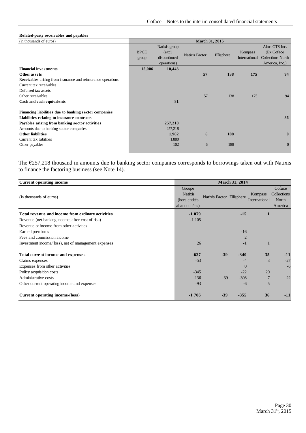#### **Related-party receivables and payables**

| (in thousands of euros)                                       | March 31, 2015       |                                                         |                       |            |                          |                                                                             |
|---------------------------------------------------------------|----------------------|---------------------------------------------------------|-----------------------|------------|--------------------------|-----------------------------------------------------------------------------|
|                                                               | <b>BPCE</b><br>group | Natixis group<br>(excl.)<br>discontinued<br>operations) | <b>Natixis Factor</b> | Ellisphere | Kompass<br>International | Altus GTS Inc.<br>(Ex Coface)<br><b>Collections North</b><br>America, Inc.) |
| <b>Financial investments</b>                                  | 15,006               | 10,443                                                  |                       |            |                          |                                                                             |
| Other assets                                                  |                      |                                                         | 57                    | 138        | 175                      | 94                                                                          |
| Receivables arising from insurance and reinsurance operations |                      |                                                         |                       |            |                          |                                                                             |
| Current tax receivables                                       |                      |                                                         |                       |            |                          |                                                                             |
| Deferred tax assets                                           |                      |                                                         |                       |            |                          |                                                                             |
| Other receivables                                             |                      |                                                         | 57                    | 138        | 175                      | 94                                                                          |
| Cash and cash equivalents                                     |                      | 81                                                      |                       |            |                          |                                                                             |
| Financing liabilities due to banking sector companies         |                      |                                                         |                       |            |                          |                                                                             |
| Liabilities relating to insurance contracts                   |                      |                                                         |                       |            |                          | 86                                                                          |
| Payables arising from banking sector activities               |                      | 257,218                                                 |                       |            |                          |                                                                             |
| Amounts due to banking sector companies                       |                      | 257,218                                                 |                       |            |                          |                                                                             |
| <b>Other liabilities</b>                                      |                      | 1,982                                                   | 6                     | 188        |                          | $\mathbf{0}$                                                                |
| Current tax liabilities                                       |                      | 1,880                                                   |                       |            |                          |                                                                             |
| Other payables                                                |                      | 102                                                     | 6                     | 188        |                          | $\theta$                                                                    |
|                                                               |                      |                                                         |                       |            |                          |                                                                             |

The €257,218 thousand in amounts due to banking sector companies corresponds to borrowings taken out with Natixis to finance the factoring business (see Note 14).

| <b>Current operating income</b>                      |                                                           |                           | <b>March 31, 2014</b> |                          |                                           |
|------------------------------------------------------|-----------------------------------------------------------|---------------------------|-----------------------|--------------------------|-------------------------------------------|
| (in thousands of euros)                              | Groupe<br><b>Natixis</b><br>(hors entités<br>abandonnées) | Natixis Factor Ellisphere |                       | Kompass<br>International | Coface<br>Collections<br>North<br>America |
| Total revenue and income from ordinary activities    | $-1079$                                                   |                           | $-15$                 |                          |                                           |
| Revenue (net banking income, after cost of risk)     | $-1105$                                                   |                           |                       |                          |                                           |
| Revenue or income from other activities              |                                                           |                           |                       |                          |                                           |
| Earned premiums                                      |                                                           |                           | $-16$                 |                          |                                           |
| Fees and commission income                           |                                                           |                           | $\overline{2}$        |                          |                                           |
| Investment income/(loss), net of management expenses | 26                                                        |                           | $-1$                  |                          |                                           |
| Total current income and expenses                    | $-627$                                                    | $-39$                     | $-340$                | 35                       | $-11$                                     |
| Claims expenses                                      | $-53$                                                     |                           | -4                    | 3                        | $-27$                                     |
| Expenses from other activities                       |                                                           |                           | $\overline{0}$        |                          | $-6$                                      |
| Policy acquisition costs                             | $-345$                                                    |                           | $-22$                 | 20                       |                                           |
| Administrative costs                                 | $-136$                                                    | $-39$                     | $-308$                | 7                        | 22                                        |
| Other current operating income and expenses          | $-93$                                                     |                           | $-6$                  | 5                        |                                           |
| Current operating income/(loss)                      | $-1706$                                                   | $-39$                     | $-355$                | 36                       | $-11$                                     |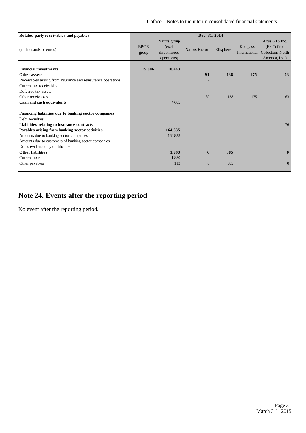Coface – Notes to the interim consolidated financial statements

| Related-party receivables and payables                                                                                                                                                                                                                                        | Dec. 31, 2014        |                                                         |                       |            |                          |                                                                            |
|-------------------------------------------------------------------------------------------------------------------------------------------------------------------------------------------------------------------------------------------------------------------------------|----------------------|---------------------------------------------------------|-----------------------|------------|--------------------------|----------------------------------------------------------------------------|
| (in thousands of euros)                                                                                                                                                                                                                                                       | <b>BPCE</b><br>group | Natixis group<br>(excl.)<br>discontinued<br>operations) | <b>Natixis Factor</b> | Ellisphere | Kompass<br>International | Altus GTS Inc.<br>(Ex Coface<br><b>Collections North</b><br>America, Inc.) |
| <b>Financial investments</b><br>Other assets<br>Receivables arising from insurance and reinsurance operations<br>Current tax receivables                                                                                                                                      | 15,006               | 10,443                                                  | 91<br>$\overline{2}$  | 138        | 175                      | 63                                                                         |
| Deferred tax assets<br>Other receivables<br>Cash and cash equivalents                                                                                                                                                                                                         |                      | 4,685                                                   | 89                    | 138        | 175                      | 63                                                                         |
| Financing liabilities due to banking sector companies<br>Debt securities<br>Liabilities relating to insurance contracts<br>Payables arising from banking sector activities<br>Amounts due to banking sector companies<br>Amounts due to customers of banking sector companies |                      | 164,835<br>164,835                                      |                       |            |                          | 76                                                                         |
| Debts evidenced by certificates<br><b>Other liabilities</b><br>Current taxes<br>Other payables                                                                                                                                                                                |                      | 1,993<br>1,880<br>113                                   | 6<br>6                | 385<br>385 |                          | $\bf{0}$<br>$\mathbf{0}$                                                   |

# <span id="page-30-0"></span>**Note 24. Events after the reporting period**

No event after the reporting period.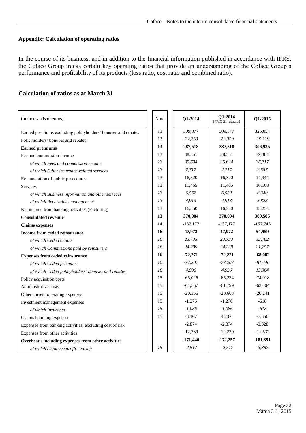#### **Appendix: Calculation of operating ratios**

In the course of its business, and in addition to the financial information published in accordance with IFRS, the Coface Group tracks certain key operating ratios that provide an understanding of the Coface Group's performance and profitability of its products (loss ratio, cost ratio and combined ratio).

| (in thousands of euros)                                      | Note | Q1-2014    | Q1-2014<br>IFRIC 21 restrated | Q1-2015    |
|--------------------------------------------------------------|------|------------|-------------------------------|------------|
| Earned premiums excluding policyholders' bonuses and rebates | 13   | 309,877    | 309,877                       | 326,054    |
| Policyholders' bonuses and rebates                           | 13   | $-22,359$  | $-22,359$                     | $-19,119$  |
| <b>Earned premiums</b>                                       | 13   | 287,518    | 287,518                       | 306,935    |
| Fee and commission income                                    | 13   | 38,351     | 38,351                        | 39,304     |
| of which Fees and commission income                          | 13   | 35,634     | 35,634                        | 36,717     |
| of which Other insurance-related services                    | 13   | 2,717      | 2,717                         | 2,587      |
| Remuneration of public procedures                            | 13   | 16,320     | 16,320                        | 14,944     |
| Services                                                     | 13   | 11,465     | 11,465                        | 10,168     |
| of which Business information and other services             | 13   | 6,552      | 6,552                         | 6,340      |
| of which Receivables management                              | 13   | 4,913      | 4,913                         | 3,828      |
| Net income from banking activities (Factoring)               | 13   | 16,350     | 16,350                        | 18,234     |
| <b>Consolidated revenue</b>                                  | 13   | 370,004    | 370,004                       | 389,585    |
| <b>Claims</b> expenses                                       | 14   | $-137,177$ | $-137,177$                    | $-152,746$ |
| Income from ceded reinsurance                                | 16   | 47,972     | 47,972                        | 54,959     |
| of which Ceded claims                                        | 16   | 23,733     | 23,733                        | 33,702     |
| of which Commissions paid by reinsurers                      | 16   | 24,239     | 24,239                        | 21,257     |
| <b>Expenses from ceded reinsurance</b>                       | 16   | $-72,271$  | $-72,271$                     | $-68,082$  |
| of which Ceded premiums                                      | 16   | $-77,207$  | $-77,207$                     | $-81,446$  |
| of which Ceded policyholders' bonuses and rebates            | 16   | 4,936      | 4,936                         | 13,364     |
| Policy acquisition costs                                     | 15   | $-65,026$  | $-65,234$                     | $-74,918$  |
| Administrative costs                                         | 15   | $-61,567$  | $-61,799$                     | $-63,404$  |
| Other current operating expenses                             | 15   | $-20,356$  | $-20,668$                     | $-20,241$  |
| Investment management expenses                               | 15   | $-1,276$   | $-1,276$                      | $-618$     |
| of which Insurance                                           | 15   | $-1,086$   | $-1,086$                      | $-618$     |
| Claims handling expenses                                     | 15   | $-8,107$   | $-8,166$                      | $-7,350$   |
| Expenses from banking activities, excluding cost of risk     |      | $-2,874$   | $-2,874$                      | $-3,328$   |
| Expenses from other activities                               |      | $-12,239$  | $-12,239$                     | $-11,532$  |
| Overheads including expenses from other activities           |      | $-171,446$ | $-172,257$                    | $-181,391$ |
| of which employee profit-sharing                             | 15   | $-2,517$   | $-2,517$                      | $-3,387$   |

#### **Calculation of ratios as at March 31**